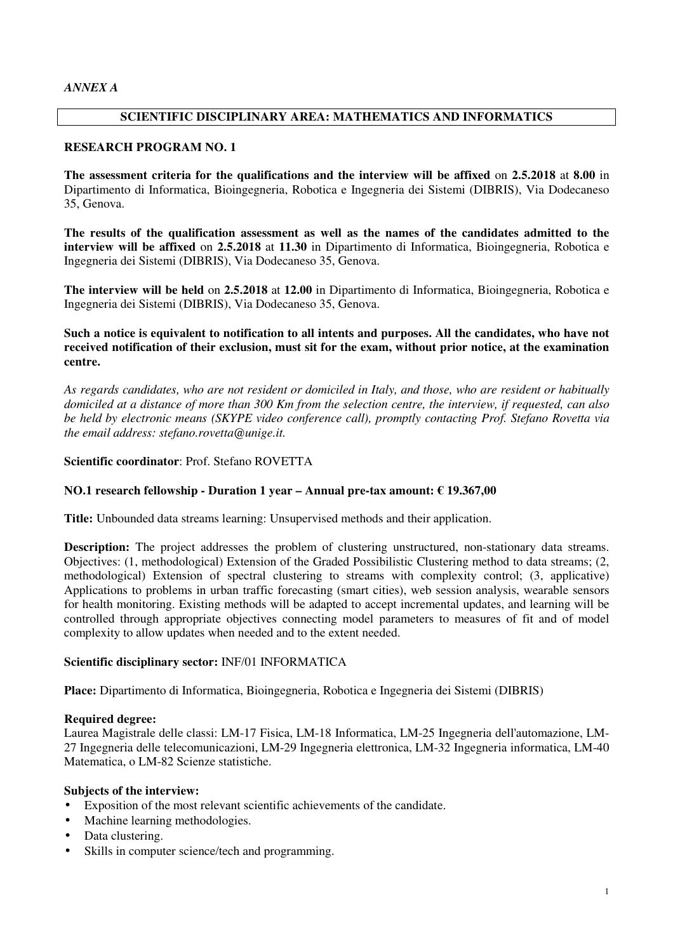# **SCIENTIFIC DISCIPLINARY AREA: MATHEMATICS AND INFORMATICS**

### **RESEARCH PROGRAM NO. 1**

**The assessment criteria for the qualifications and the interview will be affixed** on **2.5.2018** at **8.00** in Dipartimento di Informatica, Bioingegneria, Robotica e Ingegneria dei Sistemi (DIBRIS), Via Dodecaneso 35, Genova.

**The results of the qualification assessment as well as the names of the candidates admitted to the interview will be affixed** on **2.5.2018** at **11.30** in Dipartimento di Informatica, Bioingegneria, Robotica e Ingegneria dei Sistemi (DIBRIS), Via Dodecaneso 35, Genova.

**The interview will be held** on **2.5.2018** at **12.00** in Dipartimento di Informatica, Bioingegneria, Robotica e Ingegneria dei Sistemi (DIBRIS), Via Dodecaneso 35, Genova.

## **Such a notice is equivalent to notification to all intents and purposes. All the candidates, who have not received notification of their exclusion, must sit for the exam, without prior notice, at the examination centre.**

*As regards candidates, who are not resident or domiciled in Italy, and those, who are resident or habitually domiciled at a distance of more than 300 Km from the selection centre, the interview, if requested, can also be held by electronic means (SKYPE video conference call), promptly contacting Prof. Stefano Rovetta via the email address: stefano.rovetta@unige.it.*

# **Scientific coordinator**: Prof. Stefano ROVETTA

# **NO.1 research fellowship - Duration 1 year – Annual pre-tax amount: € 19.367,00**

**Title:** Unbounded data streams learning: Unsupervised methods and their application.

**Description:** The project addresses the problem of clustering unstructured, non-stationary data streams. Objectives: (1, methodological) Extension of the Graded Possibilistic Clustering method to data streams; (2, methodological) Extension of spectral clustering to streams with complexity control; (3, applicative) Applications to problems in urban traffic forecasting (smart cities), web session analysis, wearable sensors for health monitoring. Existing methods will be adapted to accept incremental updates, and learning will be controlled through appropriate objectives connecting model parameters to measures of fit and of model complexity to allow updates when needed and to the extent needed.

### **Scientific disciplinary sector:** INF/01 INFORMATICA

**Place:** Dipartimento di Informatica, Bioingegneria, Robotica e Ingegneria dei Sistemi (DIBRIS)

### **Required degree:**

Laurea Magistrale delle classi: LM-17 Fisica, LM-18 Informatica, LM-25 Ingegneria dell'automazione, LM-27 Ingegneria delle telecomunicazioni, LM-29 Ingegneria elettronica, LM-32 Ingegneria informatica, LM-40 Matematica, o LM-82 Scienze statistiche.

### **Subjects of the interview:**

- Exposition of the most relevant scientific achievements of the candidate.
- Machine learning methodologies.
- Data clustering.
- Skills in computer science/tech and programming.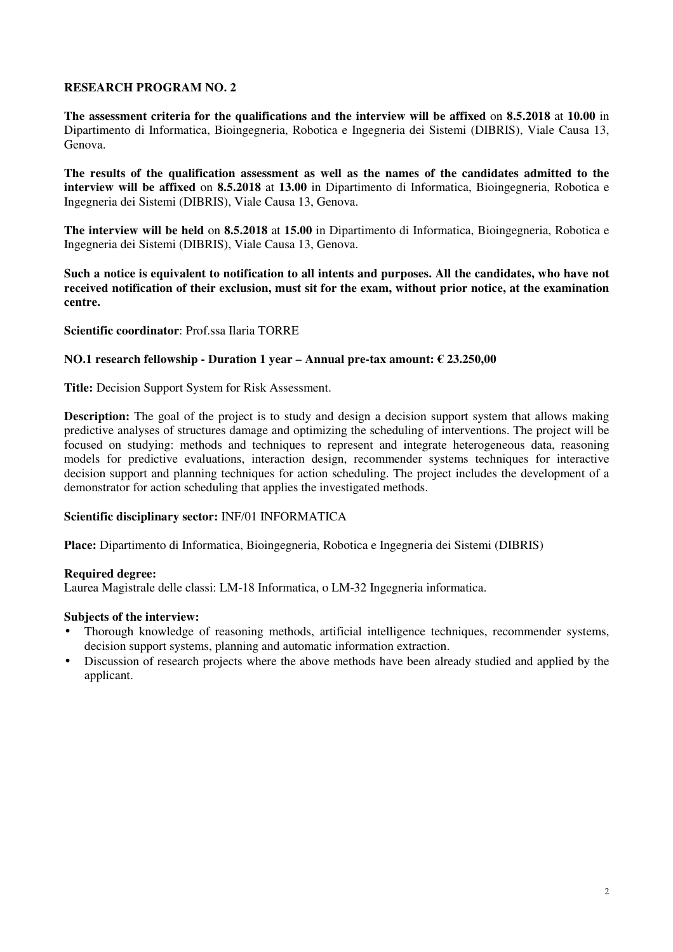**The assessment criteria for the qualifications and the interview will be affixed** on **8.5.2018** at **10.00** in Dipartimento di Informatica, Bioingegneria, Robotica e Ingegneria dei Sistemi (DIBRIS), Viale Causa 13, Genova.

**The results of the qualification assessment as well as the names of the candidates admitted to the interview will be affixed** on **8.5.2018** at **13.00** in Dipartimento di Informatica, Bioingegneria, Robotica e Ingegneria dei Sistemi (DIBRIS), Viale Causa 13, Genova.

**The interview will be held** on **8.5.2018** at **15.00** in Dipartimento di Informatica, Bioingegneria, Robotica e Ingegneria dei Sistemi (DIBRIS), Viale Causa 13, Genova.

**Such a notice is equivalent to notification to all intents and purposes. All the candidates, who have not received notification of their exclusion, must sit for the exam, without prior notice, at the examination centre.** 

**Scientific coordinator**: Prof.ssa Ilaria TORRE

#### **NO.1 research fellowship - Duration 1 year – Annual pre-tax amount: € 23.250,00**

**Title:** Decision Support System for Risk Assessment.

**Description:** The goal of the project is to study and design a decision support system that allows making predictive analyses of structures damage and optimizing the scheduling of interventions. The project will be focused on studying: methods and techniques to represent and integrate heterogeneous data, reasoning models for predictive evaluations, interaction design, recommender systems techniques for interactive decision support and planning techniques for action scheduling. The project includes the development of a demonstrator for action scheduling that applies the investigated methods.

### **Scientific disciplinary sector:** INF/01 INFORMATICA

**Place:** Dipartimento di Informatica, Bioingegneria, Robotica e Ingegneria dei Sistemi (DIBRIS)

#### **Required degree:**

Laurea Magistrale delle classi: LM-18 Informatica, o LM-32 Ingegneria informatica.

### **Subjects of the interview:**

- Thorough knowledge of reasoning methods, artificial intelligence techniques, recommender systems, decision support systems, planning and automatic information extraction.
- Discussion of research projects where the above methods have been already studied and applied by the applicant.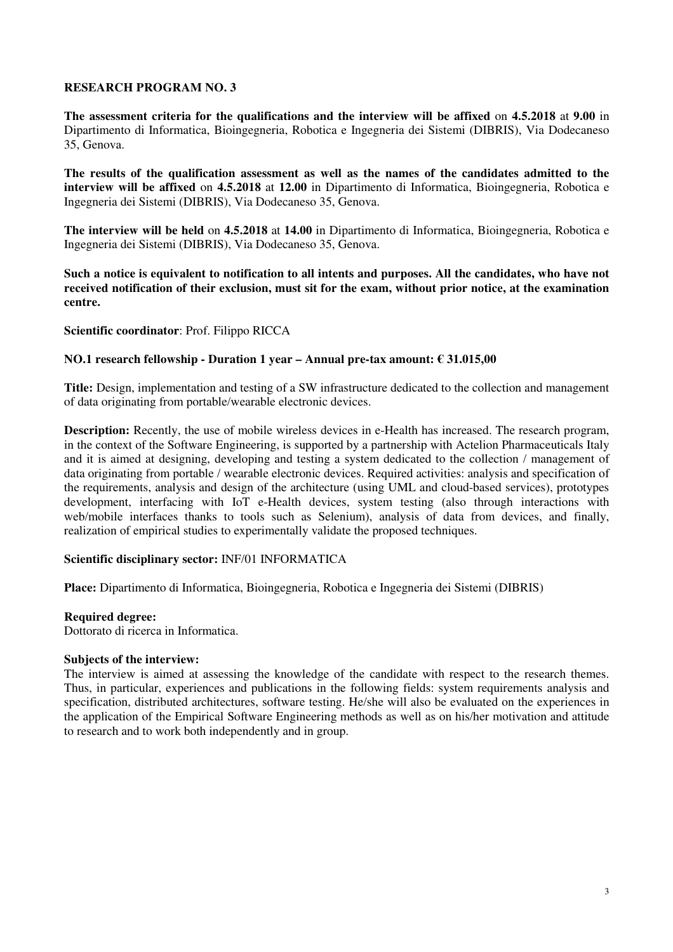**The assessment criteria for the qualifications and the interview will be affixed** on **4.5.2018** at **9.00** in Dipartimento di Informatica, Bioingegneria, Robotica e Ingegneria dei Sistemi (DIBRIS), Via Dodecaneso 35, Genova.

**The results of the qualification assessment as well as the names of the candidates admitted to the interview will be affixed** on **4.5.2018** at **12.00** in Dipartimento di Informatica, Bioingegneria, Robotica e Ingegneria dei Sistemi (DIBRIS), Via Dodecaneso 35, Genova.

**The interview will be held** on **4.5.2018** at **14.00** in Dipartimento di Informatica, Bioingegneria, Robotica e Ingegneria dei Sistemi (DIBRIS), Via Dodecaneso 35, Genova.

**Such a notice is equivalent to notification to all intents and purposes. All the candidates, who have not received notification of their exclusion, must sit for the exam, without prior notice, at the examination centre.** 

**Scientific coordinator**: Prof. Filippo RICCA

# **NO.1 research fellowship - Duration 1 year – Annual pre-tax amount: € 31.015,00**

**Title:** Design, implementation and testing of a SW infrastructure dedicated to the collection and management of data originating from portable/wearable electronic devices.

**Description:** Recently, the use of mobile wireless devices in e-Health has increased. The research program, in the context of the Software Engineering, is supported by a partnership with Actelion Pharmaceuticals Italy and it is aimed at designing, developing and testing a system dedicated to the collection / management of data originating from portable / wearable electronic devices. Required activities: analysis and specification of the requirements, analysis and design of the architecture (using UML and cloud-based services), prototypes development, interfacing with IoT e-Health devices, system testing (also through interactions with web/mobile interfaces thanks to tools such as Selenium), analysis of data from devices, and finally, realization of empirical studies to experimentally validate the proposed techniques.

#### **Scientific disciplinary sector:** INF/01 INFORMATICA

**Place:** Dipartimento di Informatica, Bioingegneria, Robotica e Ingegneria dei Sistemi (DIBRIS)

#### **Required degree:**

Dottorato di ricerca in Informatica.

#### **Subjects of the interview:**

The interview is aimed at assessing the knowledge of the candidate with respect to the research themes. Thus, in particular, experiences and publications in the following fields: system requirements analysis and specification, distributed architectures, software testing. He/she will also be evaluated on the experiences in the application of the Empirical Software Engineering methods as well as on his/her motivation and attitude to research and to work both independently and in group.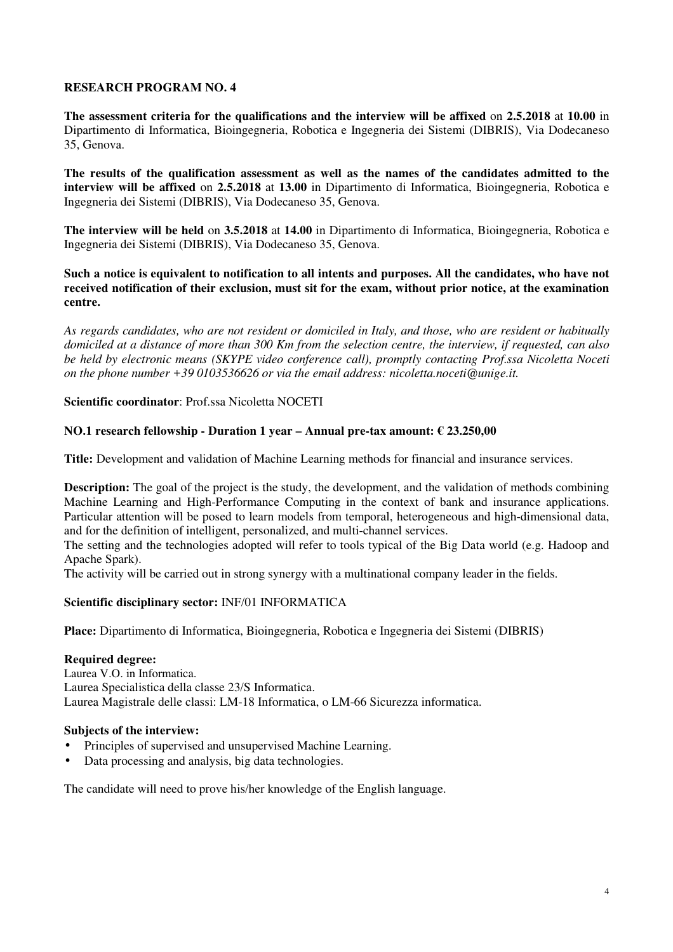**The assessment criteria for the qualifications and the interview will be affixed** on **2.5.2018** at **10.00** in Dipartimento di Informatica, Bioingegneria, Robotica e Ingegneria dei Sistemi (DIBRIS), Via Dodecaneso 35, Genova.

**The results of the qualification assessment as well as the names of the candidates admitted to the interview will be affixed** on **2.5.2018** at **13.00** in Dipartimento di Informatica, Bioingegneria, Robotica e Ingegneria dei Sistemi (DIBRIS), Via Dodecaneso 35, Genova.

**The interview will be held** on **3.5.2018** at **14.00** in Dipartimento di Informatica, Bioingegneria, Robotica e Ingegneria dei Sistemi (DIBRIS), Via Dodecaneso 35, Genova.

**Such a notice is equivalent to notification to all intents and purposes. All the candidates, who have not received notification of their exclusion, must sit for the exam, without prior notice, at the examination centre.** 

*As regards candidates, who are not resident or domiciled in Italy, and those, who are resident or habitually domiciled at a distance of more than 300 Km from the selection centre, the interview, if requested, can also be held by electronic means (SKYPE video conference call), promptly contacting Prof.ssa Nicoletta Noceti on the phone number +39 0103536626 or via the email address: nicoletta.noceti@unige.it.*

**Scientific coordinator**: Prof.ssa Nicoletta NOCETI

### **NO.1 research fellowship - Duration 1 year – Annual pre-tax amount: € 23.250,00**

**Title:** Development and validation of Machine Learning methods for financial and insurance services.

**Description:** The goal of the project is the study, the development, and the validation of methods combining Machine Learning and High-Performance Computing in the context of bank and insurance applications. Particular attention will be posed to learn models from temporal, heterogeneous and high-dimensional data, and for the definition of intelligent, personalized, and multi-channel services.

The setting and the technologies adopted will refer to tools typical of the Big Data world (e.g. Hadoop and Apache Spark).

The activity will be carried out in strong synergy with a multinational company leader in the fields.

### **Scientific disciplinary sector:** INF/01 INFORMATICA

**Place:** Dipartimento di Informatica, Bioingegneria, Robotica e Ingegneria dei Sistemi (DIBRIS)

#### **Required degree:**

Laurea V.O. in Informatica. Laurea Specialistica della classe 23/S Informatica. Laurea Magistrale delle classi: LM-18 Informatica, o LM-66 Sicurezza informatica.

#### **Subjects of the interview:**

- Principles of supervised and unsupervised Machine Learning.
- Data processing and analysis, big data technologies.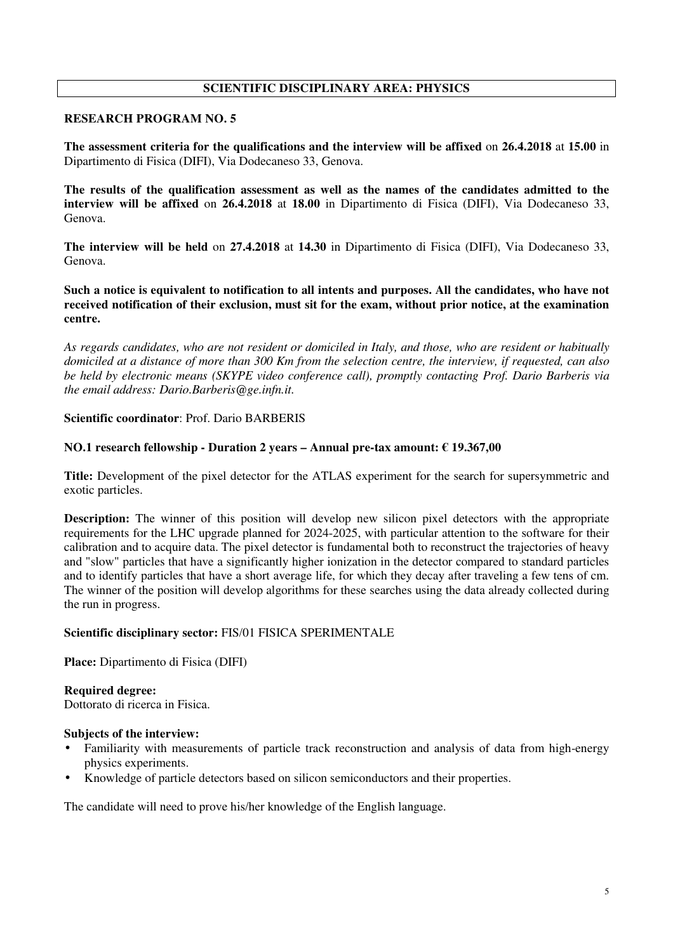# **SCIENTIFIC DISCIPLINARY AREA: PHYSICS**

# **RESEARCH PROGRAM NO. 5**

**The assessment criteria for the qualifications and the interview will be affixed** on **26.4.2018** at **15.00** in Dipartimento di Fisica (DIFI), Via Dodecaneso 33, Genova.

**The results of the qualification assessment as well as the names of the candidates admitted to the interview will be affixed** on **26.4.2018** at **18.00** in Dipartimento di Fisica (DIFI), Via Dodecaneso 33, Genova.

**The interview will be held** on **27.4.2018** at **14.30** in Dipartimento di Fisica (DIFI), Via Dodecaneso 33, Genova.

**Such a notice is equivalent to notification to all intents and purposes. All the candidates, who have not received notification of their exclusion, must sit for the exam, without prior notice, at the examination centre.** 

*As regards candidates, who are not resident or domiciled in Italy, and those, who are resident or habitually domiciled at a distance of more than 300 Km from the selection centre, the interview, if requested, can also be held by electronic means (SKYPE video conference call), promptly contacting Prof. Dario Barberis via the email address: Dario.Barberis@ge.infn.it.*

### **Scientific coordinator**: Prof. Dario BARBERIS

### **NO.1 research fellowship - Duration 2 years – Annual pre-tax amount: € 19.367,00**

**Title:** Development of the pixel detector for the ATLAS experiment for the search for supersymmetric and exotic particles.

**Description:** The winner of this position will develop new silicon pixel detectors with the appropriate requirements for the LHC upgrade planned for 2024-2025, with particular attention to the software for their calibration and to acquire data. The pixel detector is fundamental both to reconstruct the trajectories of heavy and "slow" particles that have a significantly higher ionization in the detector compared to standard particles and to identify particles that have a short average life, for which they decay after traveling a few tens of cm. The winner of the position will develop algorithms for these searches using the data already collected during the run in progress.

### **Scientific disciplinary sector:** FIS/01 FISICA SPERIMENTALE

**Place:** Dipartimento di Fisica (DIFI)

# **Required degree:**

Dottorato di ricerca in Fisica.

### **Subjects of the interview:**

- Familiarity with measurements of particle track reconstruction and analysis of data from high-energy physics experiments.
- Knowledge of particle detectors based on silicon semiconductors and their properties.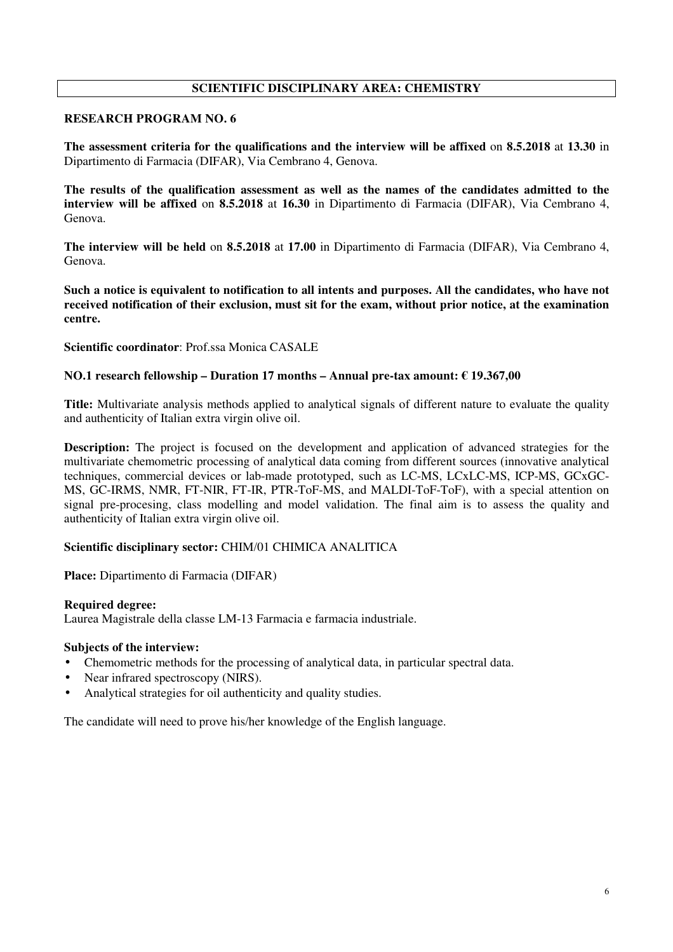# **SCIENTIFIC DISCIPLINARY AREA: CHEMISTRY**

# **RESEARCH PROGRAM NO. 6**

**The assessment criteria for the qualifications and the interview will be affixed** on **8.5.2018** at **13.30** in Dipartimento di Farmacia (DIFAR), Via Cembrano 4, Genova.

**The results of the qualification assessment as well as the names of the candidates admitted to the interview will be affixed** on **8.5.2018** at **16.30** in Dipartimento di Farmacia (DIFAR), Via Cembrano 4, Genova.

**The interview will be held** on **8.5.2018** at **17.00** in Dipartimento di Farmacia (DIFAR), Via Cembrano 4, Genova.

**Such a notice is equivalent to notification to all intents and purposes. All the candidates, who have not received notification of their exclusion, must sit for the exam, without prior notice, at the examination centre.** 

**Scientific coordinator**: Prof.ssa Monica CASALE

### **NO.1 research fellowship – Duration 17 months – Annual pre-tax amount: € 19.367,00**

**Title:** Multivariate analysis methods applied to analytical signals of different nature to evaluate the quality and authenticity of Italian extra virgin olive oil.

**Description:** The project is focused on the development and application of advanced strategies for the multivariate chemometric processing of analytical data coming from different sources (innovative analytical techniques, commercial devices or lab-made prototyped, such as LC-MS, LCxLC-MS, ICP-MS, GCxGC-MS, GC-IRMS, NMR, FT-NIR, FT-IR, PTR-ToF-MS, and MALDI-ToF-ToF), with a special attention on signal pre-procesing, class modelling and model validation. The final aim is to assess the quality and authenticity of Italian extra virgin olive oil.

### **Scientific disciplinary sector:** CHIM/01 CHIMICA ANALITICA

**Place:** Dipartimento di Farmacia (DIFAR)

#### **Required degree:**

Laurea Magistrale della classe LM-13 Farmacia e farmacia industriale.

#### **Subjects of the interview:**

- Chemometric methods for the processing of analytical data, in particular spectral data.
- Near infrared spectroscopy (NIRS).
- Analytical strategies for oil authenticity and quality studies.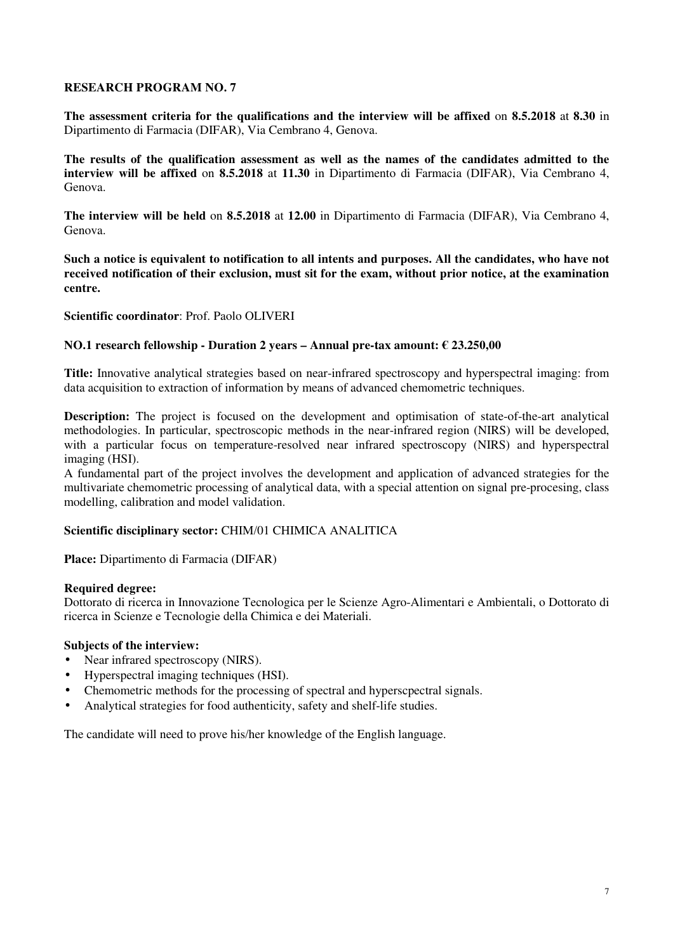**The assessment criteria for the qualifications and the interview will be affixed** on **8.5.2018** at **8.30** in Dipartimento di Farmacia (DIFAR), Via Cembrano 4, Genova.

**The results of the qualification assessment as well as the names of the candidates admitted to the interview will be affixed** on **8.5.2018** at **11.30** in Dipartimento di Farmacia (DIFAR), Via Cembrano 4, Genova.

**The interview will be held** on **8.5.2018** at **12.00** in Dipartimento di Farmacia (DIFAR), Via Cembrano 4, Genova.

**Such a notice is equivalent to notification to all intents and purposes. All the candidates, who have not received notification of their exclusion, must sit for the exam, without prior notice, at the examination centre.** 

**Scientific coordinator**: Prof. Paolo OLIVERI

### **NO.1 research fellowship - Duration 2 years – Annual pre-tax amount: € 23.250,00**

**Title:** Innovative analytical strategies based on near-infrared spectroscopy and hyperspectral imaging: from data acquisition to extraction of information by means of advanced chemometric techniques.

**Description:** The project is focused on the development and optimisation of state-of-the-art analytical methodologies. In particular, spectroscopic methods in the near-infrared region (NIRS) will be developed, with a particular focus on temperature-resolved near infrared spectroscopy (NIRS) and hyperspectral imaging (HSI).

A fundamental part of the project involves the development and application of advanced strategies for the multivariate chemometric processing of analytical data, with a special attention on signal pre-procesing, class modelling, calibration and model validation.

### **Scientific disciplinary sector:** CHIM/01 CHIMICA ANALITICA

**Place:** Dipartimento di Farmacia (DIFAR)

### **Required degree:**

Dottorato di ricerca in Innovazione Tecnologica per le Scienze Agro-Alimentari e Ambientali, o Dottorato di ricerca in Scienze e Tecnologie della Chimica e dei Materiali.

### **Subjects of the interview:**

- Near infrared spectroscopy (NIRS).
- Hyperspectral imaging techniques (HSI).
- Chemometric methods for the processing of spectral and hyperscpectral signals.
- Analytical strategies for food authenticity, safety and shelf-life studies.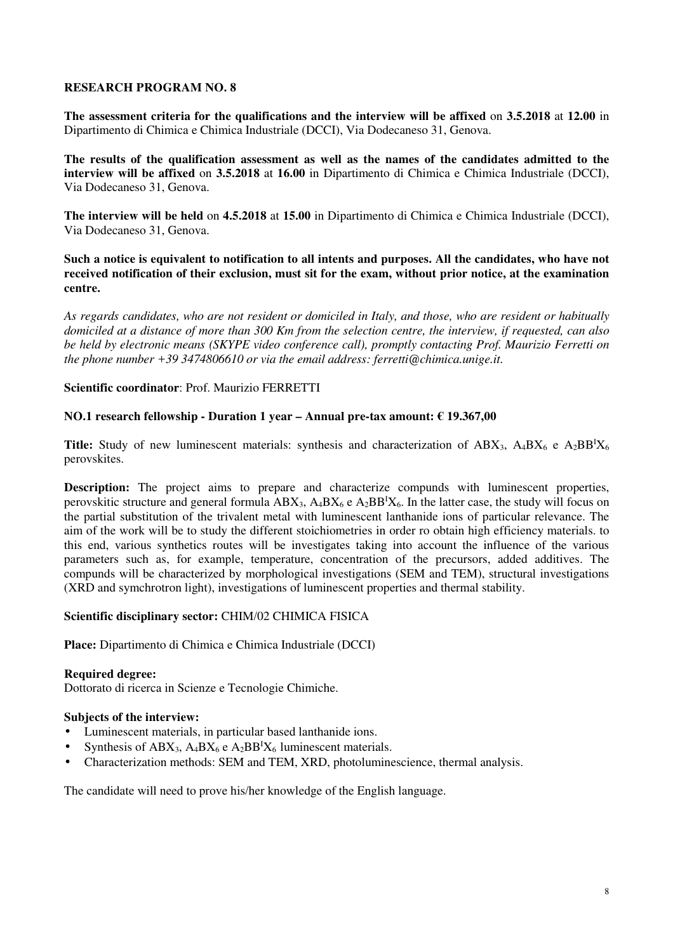**The assessment criteria for the qualifications and the interview will be affixed** on **3.5.2018** at **12.00** in Dipartimento di Chimica e Chimica Industriale (DCCI), Via Dodecaneso 31, Genova.

**The results of the qualification assessment as well as the names of the candidates admitted to the interview will be affixed** on **3.5.2018** at **16.00** in Dipartimento di Chimica e Chimica Industriale (DCCI), Via Dodecaneso 31, Genova.

**The interview will be held** on **4.5.2018** at **15.00** in Dipartimento di Chimica e Chimica Industriale (DCCI), Via Dodecaneso 31, Genova.

**Such a notice is equivalent to notification to all intents and purposes. All the candidates, who have not received notification of their exclusion, must sit for the exam, without prior notice, at the examination centre.** 

*As regards candidates, who are not resident or domiciled in Italy, and those, who are resident or habitually domiciled at a distance of more than 300 Km from the selection centre, the interview, if requested, can also be held by electronic means (SKYPE video conference call), promptly contacting Prof. Maurizio Ferretti on the phone number +39 3474806610 or via the email address: ferretti@chimica.unige.it.*

### **Scientific coordinator**: Prof. Maurizio FERRETTI

### **NO.1 research fellowship - Duration 1 year – Annual pre-tax amount: € 19.367,00**

**Title:** Study of new luminescent materials: synthesis and characterization of  $ABX_3$ ,  $A_4BX_6$  e  $A_2BB^1X_6$ perovskites.

**Description:** The project aims to prepare and characterize compunds with luminescent properties, perovskitic structure and general formula  $ABX_3$ ,  $A_4BX_6$  e  $A_2BB^{\dagger}X_6$ . In the latter case, the study will focus on the partial substitution of the trivalent metal with luminescent lanthanide ions of particular relevance. The aim of the work will be to study the different stoichiometries in order ro obtain high efficiency materials. to this end, various synthetics routes will be investigates taking into account the influence of the various parameters such as, for example, temperature, concentration of the precursors, added additives. The compunds will be characterized by morphological investigations (SEM and TEM), structural investigations (XRD and symchrotron light), investigations of luminescent properties and thermal stability.

### **Scientific disciplinary sector:** CHIM/02 CHIMICA FISICA

**Place:** Dipartimento di Chimica e Chimica Industriale (DCCI)

### **Required degree:**

Dottorato di ricerca in Scienze e Tecnologie Chimiche.

### **Subjects of the interview:**

- Luminescent materials, in particular based lanthanide ions.
- Synthesis of ABX<sub>3</sub>, A<sub>4</sub>BX<sub>6</sub> e A<sub>2</sub>BB<sup>I</sup>X<sub>6</sub> luminescent materials.
- Characterization methods: SEM and TEM, XRD, photoluminescience, thermal analysis.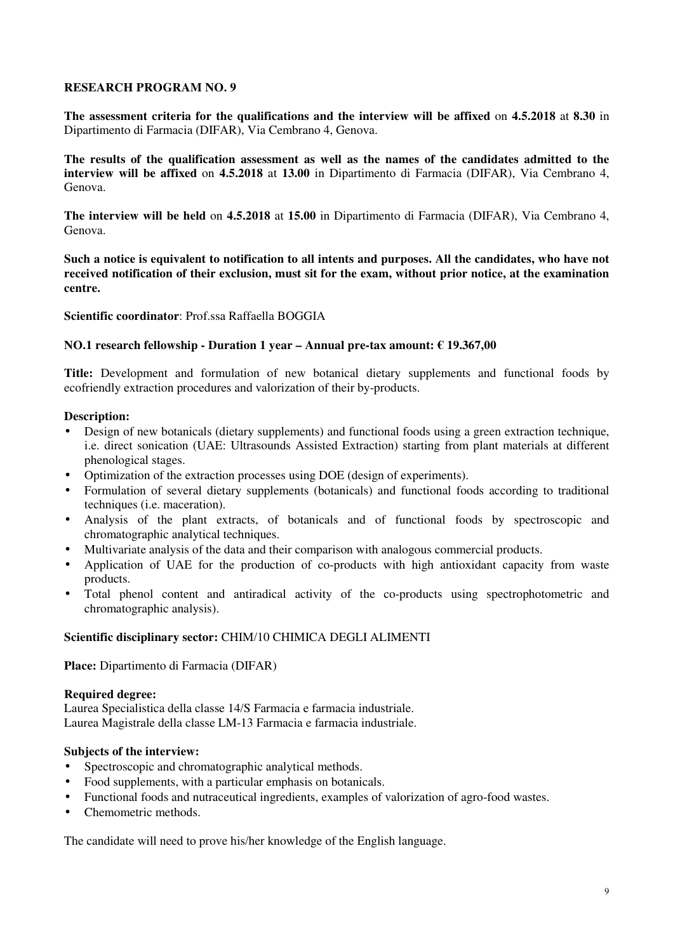**The assessment criteria for the qualifications and the interview will be affixed** on **4.5.2018** at **8.30** in Dipartimento di Farmacia (DIFAR), Via Cembrano 4, Genova.

**The results of the qualification assessment as well as the names of the candidates admitted to the interview will be affixed** on **4.5.2018** at **13.00** in Dipartimento di Farmacia (DIFAR), Via Cembrano 4, Genova.

**The interview will be held** on **4.5.2018** at **15.00** in Dipartimento di Farmacia (DIFAR), Via Cembrano 4, Genova.

**Such a notice is equivalent to notification to all intents and purposes. All the candidates, who have not received notification of their exclusion, must sit for the exam, without prior notice, at the examination centre.** 

### **Scientific coordinator**: Prof.ssa Raffaella BOGGIA

### **NO.1 research fellowship - Duration 1 year – Annual pre-tax amount: € 19.367,00**

**Title:** Development and formulation of new botanical dietary supplements and functional foods by ecofriendly extraction procedures and valorization of their by-products.

#### **Description:**

- Design of new botanicals (dietary supplements) and functional foods using a green extraction technique, i.e. direct sonication (UAE: Ultrasounds Assisted Extraction) starting from plant materials at different phenological stages.
- Optimization of the extraction processes using DOE (design of experiments).
- Formulation of several dietary supplements (botanicals) and functional foods according to traditional techniques (i.e. maceration).
- Analysis of the plant extracts, of botanicals and of functional foods by spectroscopic and chromatographic analytical techniques.
- Multivariate analysis of the data and their comparison with analogous commercial products.
- Application of UAE for the production of co-products with high antioxidant capacity from waste products.
- Total phenol content and antiradical activity of the co-products using spectrophotometric and chromatographic analysis).

### **Scientific disciplinary sector:** CHIM/10 CHIMICA DEGLI ALIMENTI

**Place:** Dipartimento di Farmacia (DIFAR)

#### **Required degree:**

Laurea Specialistica della classe 14/S Farmacia e farmacia industriale. Laurea Magistrale della classe LM-13 Farmacia e farmacia industriale.

#### **Subjects of the interview:**

- Spectroscopic and chromatographic analytical methods.
- Food supplements, with a particular emphasis on botanicals.
- Functional foods and nutraceutical ingredients, examples of valorization of agro-food wastes.
- Chemometric methods.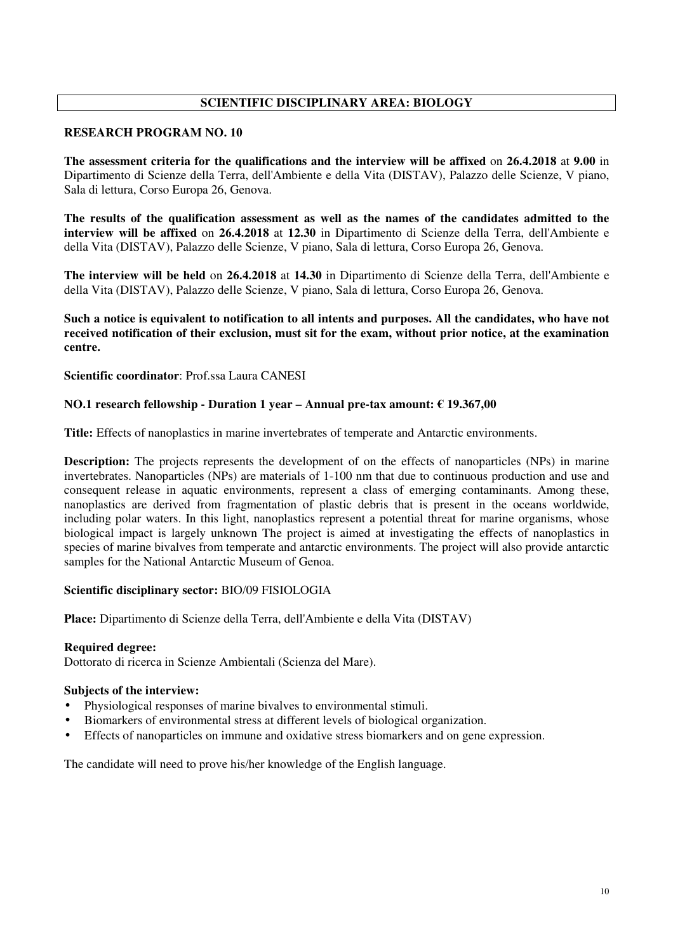# **SCIENTIFIC DISCIPLINARY AREA: BIOLOGY**

#### **RESEARCH PROGRAM NO. 10**

**The assessment criteria for the qualifications and the interview will be affixed** on **26.4.2018** at **9.00** in Dipartimento di Scienze della Terra, dell'Ambiente e della Vita (DISTAV), Palazzo delle Scienze, V piano, Sala di lettura, Corso Europa 26, Genova.

**The results of the qualification assessment as well as the names of the candidates admitted to the interview will be affixed** on **26.4.2018** at **12.30** in Dipartimento di Scienze della Terra, dell'Ambiente e della Vita (DISTAV), Palazzo delle Scienze, V piano, Sala di lettura, Corso Europa 26, Genova.

**The interview will be held** on **26.4.2018** at **14.30** in Dipartimento di Scienze della Terra, dell'Ambiente e della Vita (DISTAV), Palazzo delle Scienze, V piano, Sala di lettura, Corso Europa 26, Genova.

## **Such a notice is equivalent to notification to all intents and purposes. All the candidates, who have not received notification of their exclusion, must sit for the exam, without prior notice, at the examination centre.**

**Scientific coordinator**: Prof.ssa Laura CANESI

### **NO.1 research fellowship - Duration 1 year – Annual pre-tax amount: € 19.367,00**

**Title:** Effects of nanoplastics in marine invertebrates of temperate and Antarctic environments.

**Description:** The projects represents the development of on the effects of nanoparticles (NPs) in marine invertebrates. Nanoparticles (NPs) are materials of 1-100 nm that due to continuous production and use and consequent release in aquatic environments, represent a class of emerging contaminants. Among these, nanoplastics are derived from fragmentation of plastic debris that is present in the oceans worldwide, including polar waters. In this light, nanoplastics represent a potential threat for marine organisms, whose biological impact is largely unknown The project is aimed at investigating the effects of nanoplastics in species of marine bivalves from temperate and antarctic environments. The project will also provide antarctic samples for the National Antarctic Museum of Genoa.

### **Scientific disciplinary sector:** BIO/09 FISIOLOGIA

**Place:** Dipartimento di Scienze della Terra, dell'Ambiente e della Vita (DISTAV)

#### **Required degree:**

Dottorato di ricerca in Scienze Ambientali (Scienza del Mare).

#### **Subjects of the interview:**

- Physiological responses of marine bivalves to environmental stimuli.
- Biomarkers of environmental stress at different levels of biological organization.
- Effects of nanoparticles on immune and oxidative stress biomarkers and on gene expression.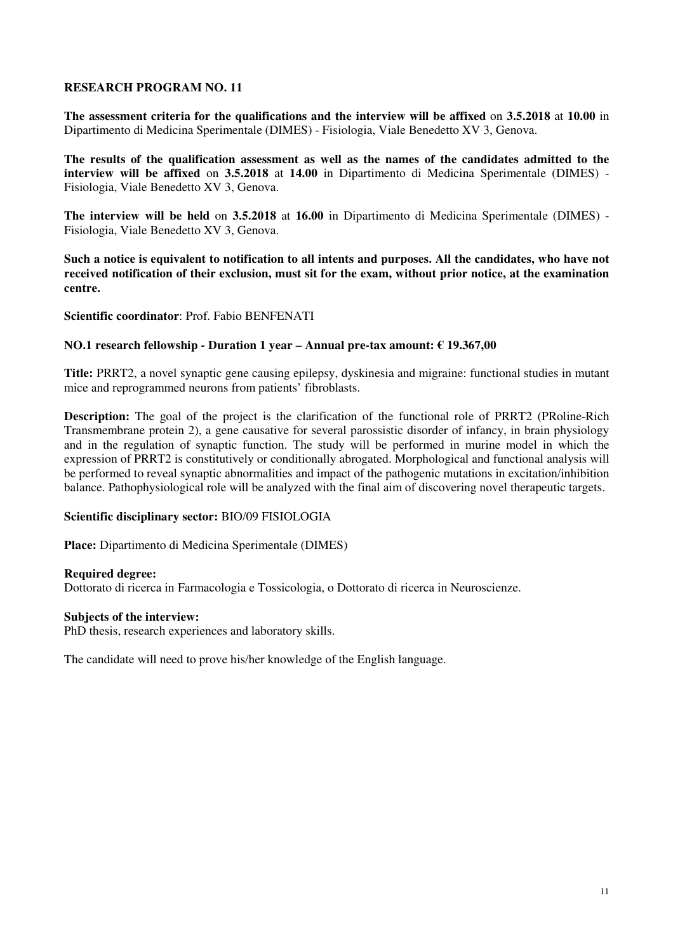**The assessment criteria for the qualifications and the interview will be affixed** on **3.5.2018** at **10.00** in Dipartimento di Medicina Sperimentale (DIMES) - Fisiologia, Viale Benedetto XV 3, Genova.

**The results of the qualification assessment as well as the names of the candidates admitted to the interview will be affixed** on **3.5.2018** at **14.00** in Dipartimento di Medicina Sperimentale (DIMES) - Fisiologia, Viale Benedetto XV 3, Genova.

**The interview will be held** on **3.5.2018** at **16.00** in Dipartimento di Medicina Sperimentale (DIMES) - Fisiologia, Viale Benedetto XV 3, Genova.

**Such a notice is equivalent to notification to all intents and purposes. All the candidates, who have not received notification of their exclusion, must sit for the exam, without prior notice, at the examination centre.** 

**Scientific coordinator**: Prof. Fabio BENFENATI

### **NO.1 research fellowship - Duration 1 year – Annual pre-tax amount: € 19.367,00**

**Title:** PRRT2, a novel synaptic gene causing epilepsy, dyskinesia and migraine: functional studies in mutant mice and reprogrammed neurons from patients' fibroblasts.

**Description:** The goal of the project is the clarification of the functional role of PRRT2 (PRoline-Rich Transmembrane protein 2), a gene causative for several parossistic disorder of infancy, in brain physiology and in the regulation of synaptic function. The study will be performed in murine model in which the expression of PRRT2 is constitutively or conditionally abrogated. Morphological and functional analysis will be performed to reveal synaptic abnormalities and impact of the pathogenic mutations in excitation/inhibition balance. Pathophysiological role will be analyzed with the final aim of discovering novel therapeutic targets.

### **Scientific disciplinary sector:** BIO/09 FISIOLOGIA

**Place:** Dipartimento di Medicina Sperimentale (DIMES)

#### **Required degree:**

Dottorato di ricerca in Farmacologia e Tossicologia, o Dottorato di ricerca in Neuroscienze.

#### **Subjects of the interview:**

PhD thesis, research experiences and laboratory skills.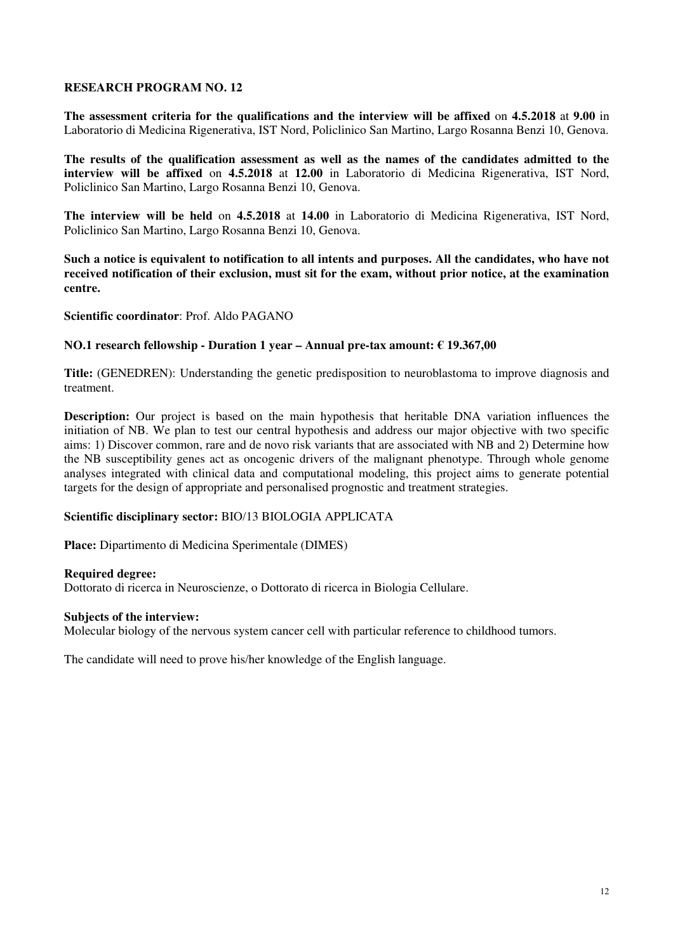**The assessment criteria for the qualifications and the interview will be affixed** on **4.5.2018** at **9.00** in Laboratorio di Medicina Rigenerativa, IST Nord, Policlinico San Martino, Largo Rosanna Benzi 10, Genova.

**The results of the qualification assessment as well as the names of the candidates admitted to the interview will be affixed** on **4.5.2018** at **12.00** in Laboratorio di Medicina Rigenerativa, IST Nord, Policlinico San Martino, Largo Rosanna Benzi 10, Genova.

**The interview will be held** on **4.5.2018** at **14.00** in Laboratorio di Medicina Rigenerativa, IST Nord, Policlinico San Martino, Largo Rosanna Benzi 10, Genova.

**Such a notice is equivalent to notification to all intents and purposes. All the candidates, who have not received notification of their exclusion, must sit for the exam, without prior notice, at the examination centre.** 

**Scientific coordinator**: Prof. Aldo PAGANO

### **NO.1 research fellowship - Duration 1 year – Annual pre-tax amount: € 19.367,00**

**Title:** (GENEDREN): Understanding the genetic predisposition to neuroblastoma to improve diagnosis and treatment.

**Description:** Our project is based on the main hypothesis that heritable DNA variation influences the initiation of NB. We plan to test our central hypothesis and address our major objective with two specific aims: 1) Discover common, rare and de novo risk variants that are associated with NB and 2) Determine how the NB susceptibility genes act as oncogenic drivers of the malignant phenotype. Through whole genome analyses integrated with clinical data and computational modeling, this project aims to generate potential targets for the design of appropriate and personalised prognostic and treatment strategies.

### **Scientific disciplinary sector:** BIO/13 BIOLOGIA APPLICATA

**Place:** Dipartimento di Medicina Sperimentale (DIMES)

#### **Required degree:**

Dottorato di ricerca in Neuroscienze, o Dottorato di ricerca in Biologia Cellulare.

### **Subjects of the interview:**

Molecular biology of the nervous system cancer cell with particular reference to childhood tumors.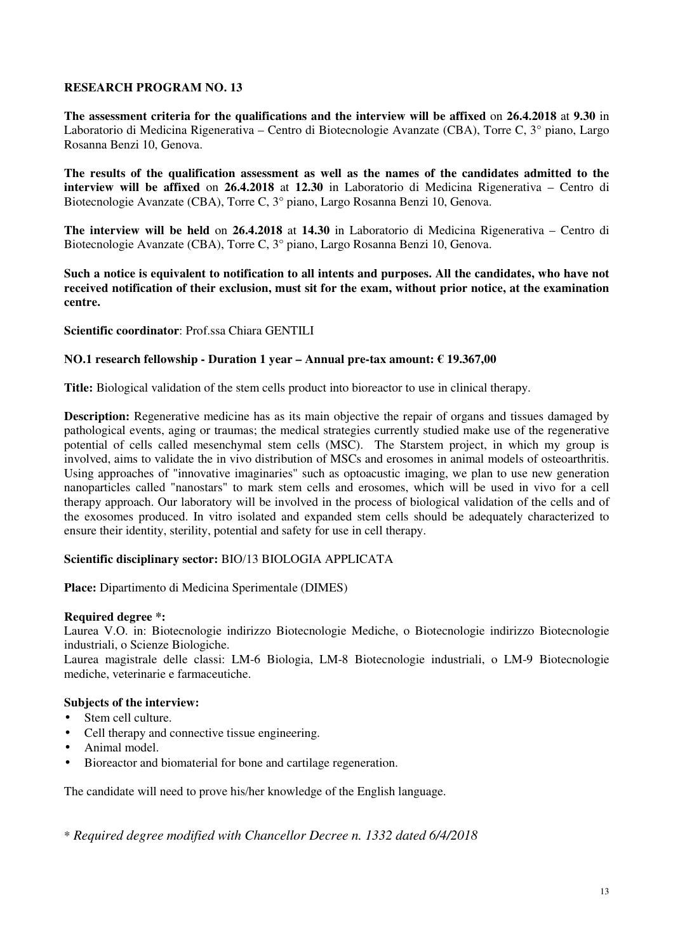**The assessment criteria for the qualifications and the interview will be affixed** on **26.4.2018** at **9.30** in Laboratorio di Medicina Rigenerativa – Centro di Biotecnologie Avanzate (CBA), Torre C, 3° piano, Largo Rosanna Benzi 10, Genova.

**The results of the qualification assessment as well as the names of the candidates admitted to the interview will be affixed** on **26.4.2018** at **12.30** in Laboratorio di Medicina Rigenerativa – Centro di Biotecnologie Avanzate (CBA), Torre C, 3° piano, Largo Rosanna Benzi 10, Genova.

**The interview will be held** on **26.4.2018** at **14.30** in Laboratorio di Medicina Rigenerativa – Centro di Biotecnologie Avanzate (CBA), Torre C, 3° piano, Largo Rosanna Benzi 10, Genova.

**Such a notice is equivalent to notification to all intents and purposes. All the candidates, who have not received notification of their exclusion, must sit for the exam, without prior notice, at the examination centre.** 

**Scientific coordinator**: Prof.ssa Chiara GENTILI

# **NO.1 research fellowship - Duration 1 year – Annual pre-tax amount: € 19.367,00**

**Title:** Biological validation of the stem cells product into bioreactor to use in clinical therapy.

**Description:** Regenerative medicine has as its main objective the repair of organs and tissues damaged by pathological events, aging or traumas; the medical strategies currently studied make use of the regenerative potential of cells called mesenchymal stem cells (MSC). The Starstem project, in which my group is involved, aims to validate the in vivo distribution of MSCs and erosomes in animal models of osteoarthritis. Using approaches of "innovative imaginaries" such as optoacustic imaging, we plan to use new generation nanoparticles called "nanostars" to mark stem cells and erosomes, which will be used in vivo for a cell therapy approach. Our laboratory will be involved in the process of biological validation of the cells and of the exosomes produced. In vitro isolated and expanded stem cells should be adequately characterized to ensure their identity, sterility, potential and safety for use in cell therapy.

### **Scientific disciplinary sector:** BIO/13 BIOLOGIA APPLICATA

**Place:** Dipartimento di Medicina Sperimentale (DIMES)

### **Required degree \*:**

Laurea V.O. in: Biotecnologie indirizzo Biotecnologie Mediche, o Biotecnologie indirizzo Biotecnologie industriali, o Scienze Biologiche.

Laurea magistrale delle classi: LM-6 Biologia, LM-8 Biotecnologie industriali, o LM-9 Biotecnologie mediche, veterinarie e farmaceutiche.

### **Subjects of the interview:**

- Stem cell culture.
- Cell therapy and connective tissue engineering.
- Animal model.
- Bioreactor and biomaterial for bone and cartilage regeneration.

The candidate will need to prove his/her knowledge of the English language.

\* *Required degree modified with Chancellor Decree n. 1332 dated 6/4/2018*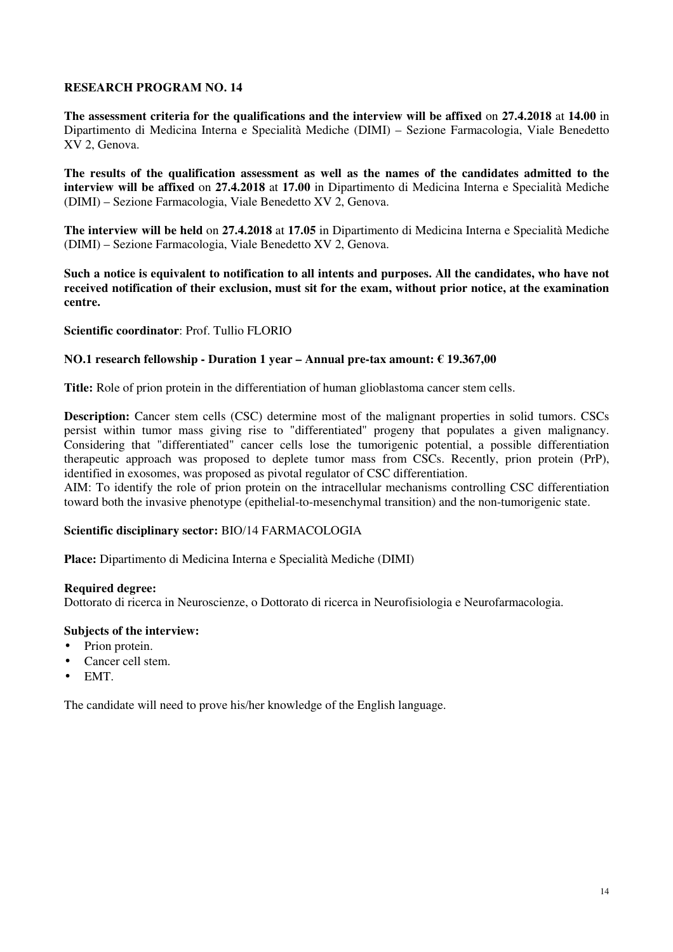**The assessment criteria for the qualifications and the interview will be affixed** on **27.4.2018** at **14.00** in Dipartimento di Medicina Interna e Specialità Mediche (DIMI) – Sezione Farmacologia, Viale Benedetto XV 2, Genova.

**The results of the qualification assessment as well as the names of the candidates admitted to the interview will be affixed** on **27.4.2018** at **17.00** in Dipartimento di Medicina Interna e Specialità Mediche (DIMI) – Sezione Farmacologia, Viale Benedetto XV 2, Genova.

**The interview will be held** on **27.4.2018** at **17.05** in Dipartimento di Medicina Interna e Specialità Mediche (DIMI) – Sezione Farmacologia, Viale Benedetto XV 2, Genova.

**Such a notice is equivalent to notification to all intents and purposes. All the candidates, who have not received notification of their exclusion, must sit for the exam, without prior notice, at the examination centre.** 

**Scientific coordinator**: Prof. Tullio FLORIO

### **NO.1 research fellowship - Duration 1 year – Annual pre-tax amount: € 19.367,00**

**Title:** Role of prion protein in the differentiation of human glioblastoma cancer stem cells.

**Description:** Cancer stem cells (CSC) determine most of the malignant properties in solid tumors. CSCs persist within tumor mass giving rise to "differentiated" progeny that populates a given malignancy. Considering that "differentiated" cancer cells lose the tumorigenic potential, a possible differentiation therapeutic approach was proposed to deplete tumor mass from CSCs. Recently, prion protein (PrP), identified in exosomes, was proposed as pivotal regulator of CSC differentiation.

AIM: To identify the role of prion protein on the intracellular mechanisms controlling CSC differentiation toward both the invasive phenotype (epithelial-to-mesenchymal transition) and the non-tumorigenic state.

### **Scientific disciplinary sector:** BIO/14 FARMACOLOGIA

**Place:** Dipartimento di Medicina Interna e Specialità Mediche (DIMI)

#### **Required degree:**

Dottorato di ricerca in Neuroscienze, o Dottorato di ricerca in Neurofisiologia e Neurofarmacologia.

### **Subjects of the interview:**

- Prion protein.
- Cancer cell stem.
- EMT.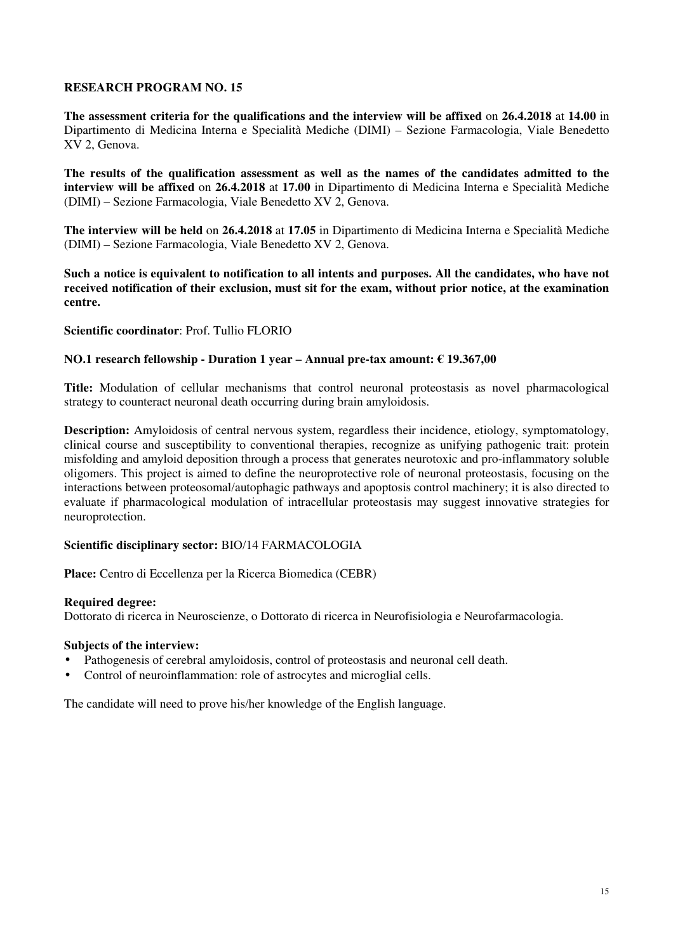**The assessment criteria for the qualifications and the interview will be affixed** on **26.4.2018** at **14.00** in Dipartimento di Medicina Interna e Specialità Mediche (DIMI) – Sezione Farmacologia, Viale Benedetto XV 2, Genova.

**The results of the qualification assessment as well as the names of the candidates admitted to the interview will be affixed** on **26.4.2018** at **17.00** in Dipartimento di Medicina Interna e Specialità Mediche (DIMI) – Sezione Farmacologia, Viale Benedetto XV 2, Genova.

**The interview will be held** on **26.4.2018** at **17.05** in Dipartimento di Medicina Interna e Specialità Mediche (DIMI) – Sezione Farmacologia, Viale Benedetto XV 2, Genova.

**Such a notice is equivalent to notification to all intents and purposes. All the candidates, who have not received notification of their exclusion, must sit for the exam, without prior notice, at the examination centre.** 

**Scientific coordinator**: Prof. Tullio FLORIO

#### **NO.1 research fellowship - Duration 1 year – Annual pre-tax amount: € 19.367,00**

**Title:** Modulation of cellular mechanisms that control neuronal proteostasis as novel pharmacological strategy to counteract neuronal death occurring during brain amyloidosis.

**Description:** Amyloidosis of central nervous system, regardless their incidence, etiology, symptomatology, clinical course and susceptibility to conventional therapies, recognize as unifying pathogenic trait: protein misfolding and amyloid deposition through a process that generates neurotoxic and pro-inflammatory soluble oligomers. This project is aimed to define the neuroprotective role of neuronal proteostasis, focusing on the interactions between proteosomal/autophagic pathways and apoptosis control machinery; it is also directed to evaluate if pharmacological modulation of intracellular proteostasis may suggest innovative strategies for neuroprotection.

### **Scientific disciplinary sector:** BIO/14 FARMACOLOGIA

**Place:** Centro di Eccellenza per la Ricerca Biomedica (CEBR)

#### **Required degree:**

Dottorato di ricerca in Neuroscienze, o Dottorato di ricerca in Neurofisiologia e Neurofarmacologia.

#### **Subjects of the interview:**

- Pathogenesis of cerebral amyloidosis, control of proteostasis and neuronal cell death.
- Control of neuroinflammation: role of astrocytes and microglial cells.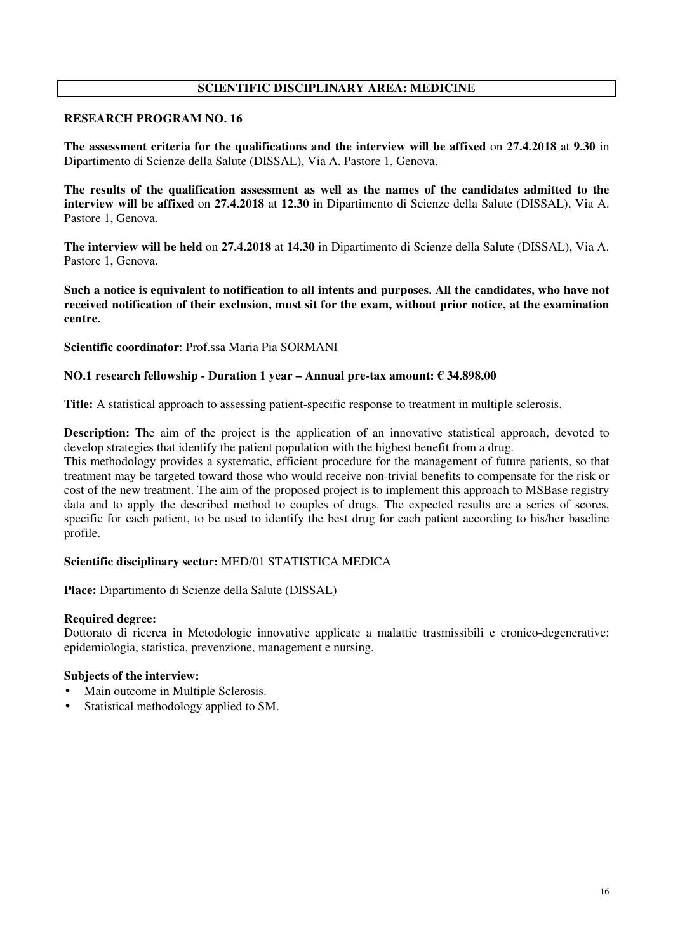# **SCIENTIFIC DISCIPLINARY AREA: MEDICINE**

# **RESEARCH PROGRAM NO. 16**

**The assessment criteria for the qualifications and the interview will be affixed** on **27.4.2018** at **9.30** in Dipartimento di Scienze della Salute (DISSAL), Via A. Pastore 1, Genova.

**The results of the qualification assessment as well as the names of the candidates admitted to the interview will be affixed** on **27.4.2018** at **12.30** in Dipartimento di Scienze della Salute (DISSAL), Via A. Pastore 1, Genova.

**The interview will be held** on **27.4.2018** at **14.30** in Dipartimento di Scienze della Salute (DISSAL), Via A. Pastore 1, Genova.

**Such a notice is equivalent to notification to all intents and purposes. All the candidates, who have not received notification of their exclusion, must sit for the exam, without prior notice, at the examination centre.** 

**Scientific coordinator**: Prof.ssa Maria Pia SORMANI

### **NO.1 research fellowship - Duration 1 year – Annual pre-tax amount: € 34.898,00**

**Title:** A statistical approach to assessing patient-specific response to treatment in multiple sclerosis.

**Description:** The aim of the project is the application of an innovative statistical approach, devoted to develop strategies that identify the patient population with the highest benefit from a drug.

This methodology provides a systematic, efficient procedure for the management of future patients, so that treatment may be targeted toward those who would receive non-trivial benefits to compensate for the risk or cost of the new treatment. The aim of the proposed project is to implement this approach to MSBase registry data and to apply the described method to couples of drugs. The expected results are a series of scores, specific for each patient, to be used to identify the best drug for each patient according to his/her baseline profile.

### **Scientific disciplinary sector:** MED/01 STATISTICA MEDICA

**Place:** Dipartimento di Scienze della Salute (DISSAL)

### **Required degree:**

Dottorato di ricerca in Metodologie innovative applicate a malattie trasmissibili e cronico-degenerative: epidemiologia, statistica, prevenzione, management e nursing.

### **Subjects of the interview:**

- Main outcome in Multiple Sclerosis.
- Statistical methodology applied to SM.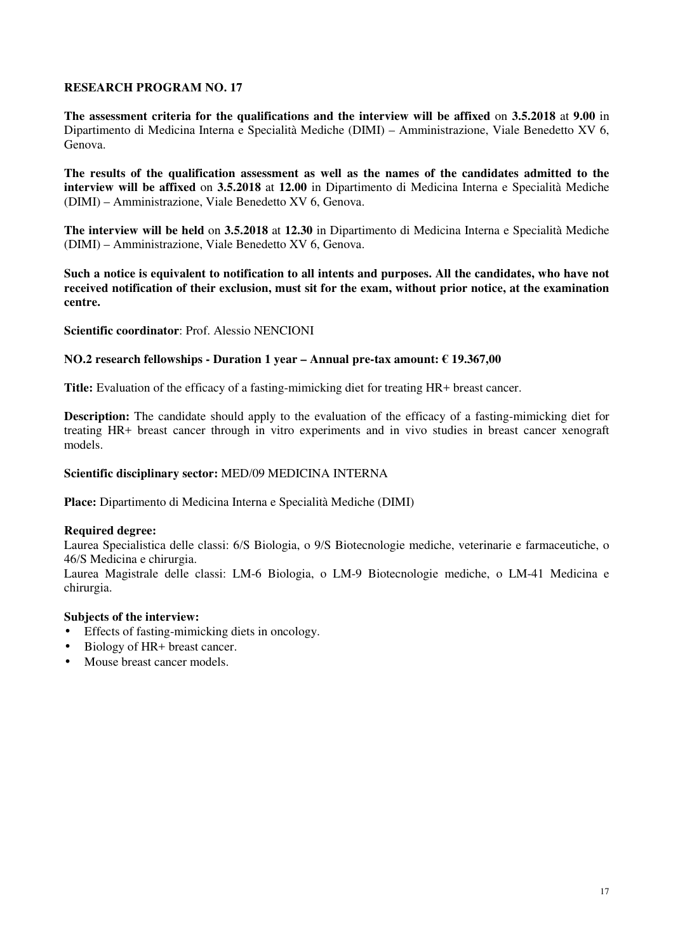**The assessment criteria for the qualifications and the interview will be affixed** on **3.5.2018** at **9.00** in Dipartimento di Medicina Interna e Specialità Mediche (DIMI) – Amministrazione, Viale Benedetto XV 6, Genova.

**The results of the qualification assessment as well as the names of the candidates admitted to the interview will be affixed** on **3.5.2018** at **12.00** in Dipartimento di Medicina Interna e Specialità Mediche (DIMI) – Amministrazione, Viale Benedetto XV 6, Genova.

**The interview will be held** on **3.5.2018** at **12.30** in Dipartimento di Medicina Interna e Specialità Mediche (DIMI) – Amministrazione, Viale Benedetto XV 6, Genova.

**Such a notice is equivalent to notification to all intents and purposes. All the candidates, who have not received notification of their exclusion, must sit for the exam, without prior notice, at the examination centre.** 

**Scientific coordinator**: Prof. Alessio NENCIONI

### **NO.2 research fellowships - Duration 1 year – Annual pre-tax amount: € 19.367,00**

**Title:** Evaluation of the efficacy of a fasting-mimicking diet for treating HR+ breast cancer.

**Description:** The candidate should apply to the evaluation of the efficacy of a fasting-mimicking diet for treating HR+ breast cancer through in vitro experiments and in vivo studies in breast cancer xenograft models.

#### **Scientific disciplinary sector:** MED/09 MEDICINA INTERNA

**Place:** Dipartimento di Medicina Interna e Specialità Mediche (DIMI)

#### **Required degree:**

Laurea Specialistica delle classi: 6/S Biologia, o 9/S Biotecnologie mediche, veterinarie e farmaceutiche, o 46/S Medicina e chirurgia.

Laurea Magistrale delle classi: LM-6 Biologia, o LM-9 Biotecnologie mediche, o LM-41 Medicina e chirurgia.

### **Subjects of the interview:**

- Effects of fasting-mimicking diets in oncology.
- Biology of HR+ breast cancer.
- Mouse breast cancer models.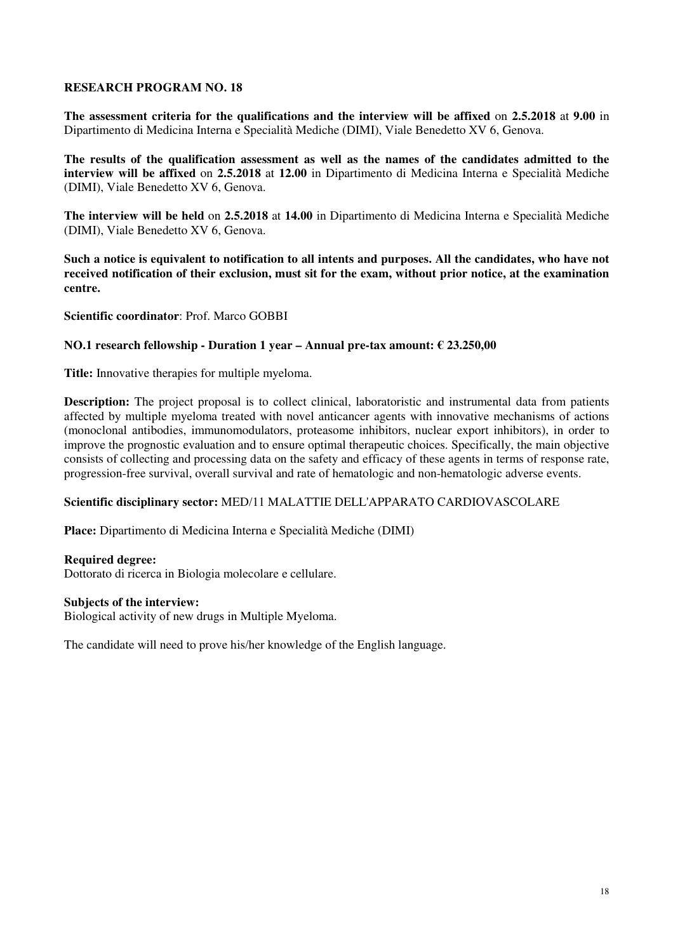**The assessment criteria for the qualifications and the interview will be affixed** on **2.5.2018** at **9.00** in Dipartimento di Medicina Interna e Specialità Mediche (DIMI), Viale Benedetto XV 6, Genova.

**The results of the qualification assessment as well as the names of the candidates admitted to the interview will be affixed** on **2.5.2018** at **12.00** in Dipartimento di Medicina Interna e Specialità Mediche (DIMI), Viale Benedetto XV 6, Genova.

**The interview will be held** on **2.5.2018** at **14.00** in Dipartimento di Medicina Interna e Specialità Mediche (DIMI), Viale Benedetto XV 6, Genova.

**Such a notice is equivalent to notification to all intents and purposes. All the candidates, who have not received notification of their exclusion, must sit for the exam, without prior notice, at the examination centre.** 

**Scientific coordinator**: Prof. Marco GOBBI

### **NO.1 research fellowship - Duration 1 year – Annual pre-tax amount: € 23.250,00**

**Title:** Innovative therapies for multiple myeloma.

**Description:** The project proposal is to collect clinical, laboratoristic and instrumental data from patients affected by multiple myeloma treated with novel anticancer agents with innovative mechanisms of actions (monoclonal antibodies, immunomodulators, proteasome inhibitors, nuclear export inhibitors), in order to improve the prognostic evaluation and to ensure optimal therapeutic choices. Specifically, the main objective consists of collecting and processing data on the safety and efficacy of these agents in terms of response rate, progression-free survival, overall survival and rate of hematologic and non-hematologic adverse events.

### **Scientific disciplinary sector:** MED/11 MALATTIE DELL'APPARATO CARDIOVASCOLARE

**Place:** Dipartimento di Medicina Interna e Specialità Mediche (DIMI)

#### **Required degree:**

Dottorato di ricerca in Biologia molecolare e cellulare.

#### **Subjects of the interview:**

Biological activity of new drugs in Multiple Myeloma.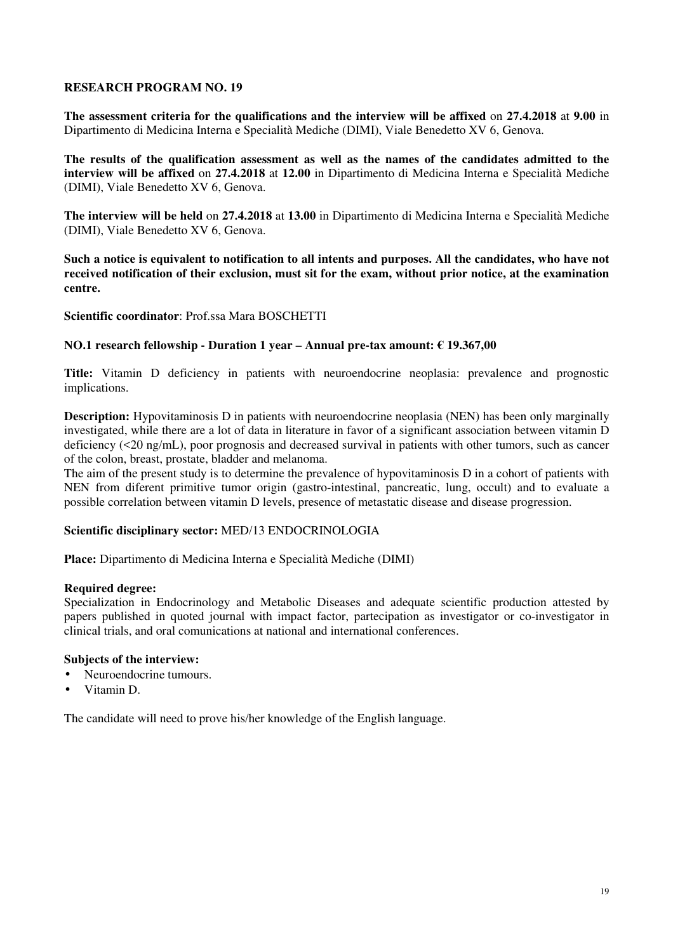**The assessment criteria for the qualifications and the interview will be affixed** on **27.4.2018** at **9.00** in Dipartimento di Medicina Interna e Specialità Mediche (DIMI), Viale Benedetto XV 6, Genova.

**The results of the qualification assessment as well as the names of the candidates admitted to the interview will be affixed** on **27.4.2018** at **12.00** in Dipartimento di Medicina Interna e Specialità Mediche (DIMI), Viale Benedetto XV 6, Genova.

**The interview will be held** on **27.4.2018** at **13.00** in Dipartimento di Medicina Interna e Specialità Mediche (DIMI), Viale Benedetto XV 6, Genova.

**Such a notice is equivalent to notification to all intents and purposes. All the candidates, who have not received notification of their exclusion, must sit for the exam, without prior notice, at the examination centre.** 

**Scientific coordinator**: Prof.ssa Mara BOSCHETTI

### **NO.1 research fellowship - Duration 1 year – Annual pre-tax amount: € 19.367,00**

**Title:** Vitamin D deficiency in patients with neuroendocrine neoplasia: prevalence and prognostic implications.

**Description:** Hypovitaminosis D in patients with neuroendocrine neoplasia (NEN) has been only marginally investigated, while there are a lot of data in literature in favor of a significant association between vitamin D deficiency (<20 ng/mL), poor prognosis and decreased survival in patients with other tumors, such as cancer of the colon, breast, prostate, bladder and melanoma.

The aim of the present study is to determine the prevalence of hypovitaminosis D in a cohort of patients with NEN from diferent primitive tumor origin (gastro-intestinal, pancreatic, lung, occult) and to evaluate a possible correlation between vitamin D levels, presence of metastatic disease and disease progression.

### **Scientific disciplinary sector:** MED/13 ENDOCRINOLOGIA

**Place:** Dipartimento di Medicina Interna e Specialità Mediche (DIMI)

### **Required degree:**

Specialization in Endocrinology and Metabolic Diseases and adequate scientific production attested by papers published in quoted journal with impact factor, partecipation as investigator or co-investigator in clinical trials, and oral comunications at national and international conferences.

### **Subjects of the interview:**

- Neuroendocrine tumours.
- Vitamin D.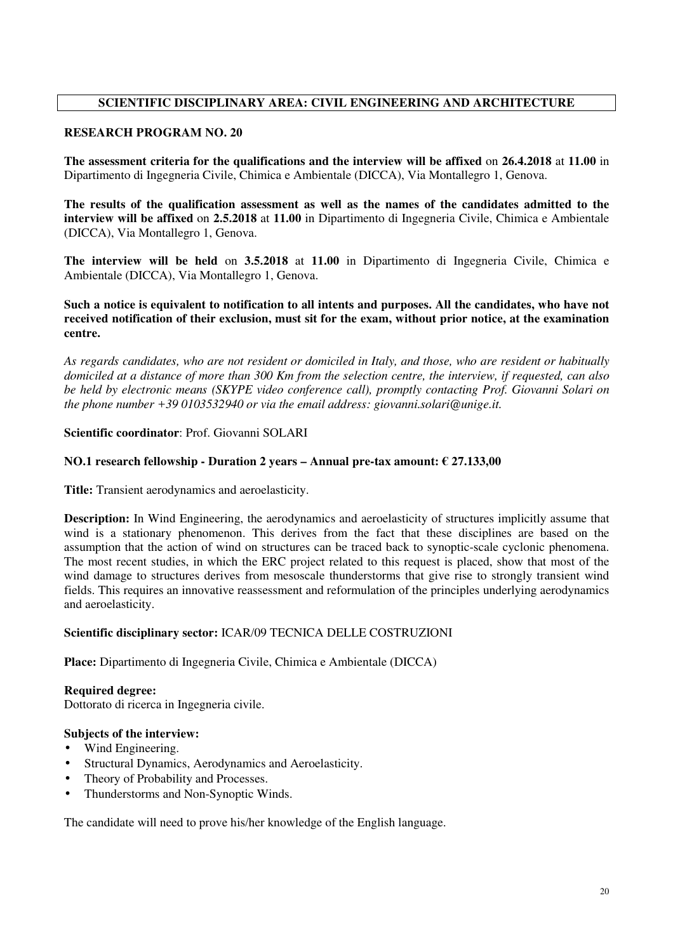# **SCIENTIFIC DISCIPLINARY AREA: CIVIL ENGINEERING AND ARCHITECTURE**

# **RESEARCH PROGRAM NO. 20**

**The assessment criteria for the qualifications and the interview will be affixed** on **26.4.2018** at **11.00** in Dipartimento di Ingegneria Civile, Chimica e Ambientale (DICCA), Via Montallegro 1, Genova.

**The results of the qualification assessment as well as the names of the candidates admitted to the interview will be affixed** on **2.5.2018** at **11.00** in Dipartimento di Ingegneria Civile, Chimica e Ambientale (DICCA), Via Montallegro 1, Genova.

**The interview will be held** on **3.5.2018** at **11.00** in Dipartimento di Ingegneria Civile, Chimica e Ambientale (DICCA), Via Montallegro 1, Genova.

**Such a notice is equivalent to notification to all intents and purposes. All the candidates, who have not received notification of their exclusion, must sit for the exam, without prior notice, at the examination centre.** 

*As regards candidates, who are not resident or domiciled in Italy, and those, who are resident or habitually domiciled at a distance of more than 300 Km from the selection centre, the interview, if requested, can also be held by electronic means (SKYPE video conference call), promptly contacting Prof. Giovanni Solari on the phone number +39 0103532940 or via the email address: giovanni.solari@unige.it.* 

# **Scientific coordinator**: Prof. Giovanni SOLARI

# **NO.1 research fellowship - Duration 2 years – Annual pre-tax amount: € 27.133,00**

**Title:** Transient aerodynamics and aeroelasticity.

**Description:** In Wind Engineering, the aerodynamics and aeroelasticity of structures implicitly assume that wind is a stationary phenomenon. This derives from the fact that these disciplines are based on the assumption that the action of wind on structures can be traced back to synoptic-scale cyclonic phenomena. The most recent studies, in which the ERC project related to this request is placed, show that most of the wind damage to structures derives from mesoscale thunderstorms that give rise to strongly transient wind fields. This requires an innovative reassessment and reformulation of the principles underlying aerodynamics and aeroelasticity.

### **Scientific disciplinary sector:** ICAR/09 TECNICA DELLE COSTRUZIONI

**Place:** Dipartimento di Ingegneria Civile, Chimica e Ambientale (DICCA)

**Required degree:**  Dottorato di ricerca in Ingegneria civile.

### **Subjects of the interview:**

- Wind Engineering.
- Structural Dynamics, Aerodynamics and Aeroelasticity.
- Theory of Probability and Processes.
- Thunderstorms and Non-Synoptic Winds.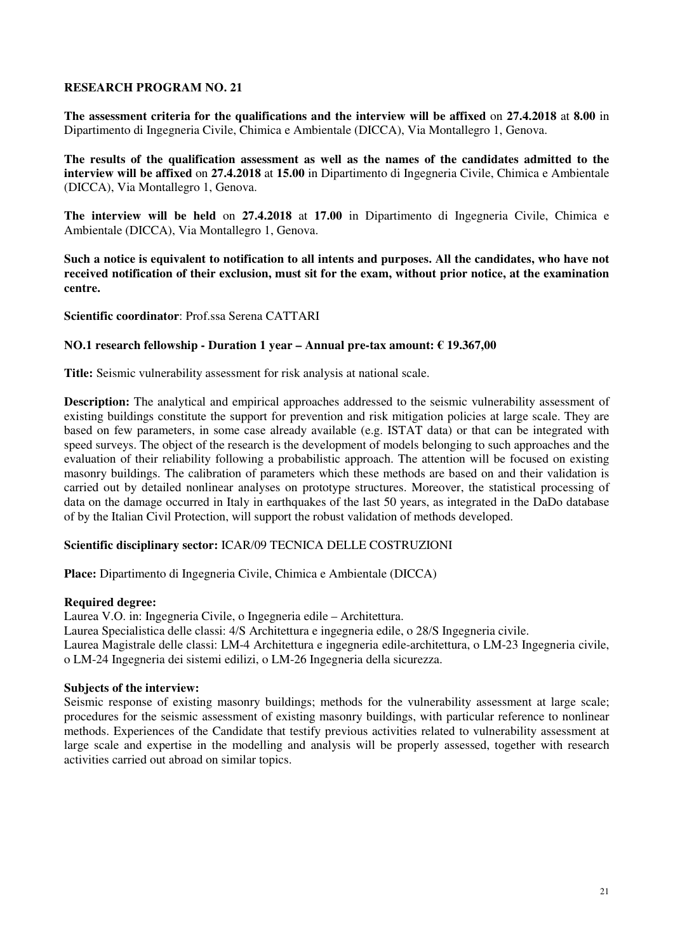**The assessment criteria for the qualifications and the interview will be affixed** on **27.4.2018** at **8.00** in Dipartimento di Ingegneria Civile, Chimica e Ambientale (DICCA), Via Montallegro 1, Genova.

**The results of the qualification assessment as well as the names of the candidates admitted to the interview will be affixed** on **27.4.2018** at **15.00** in Dipartimento di Ingegneria Civile, Chimica e Ambientale (DICCA), Via Montallegro 1, Genova.

**The interview will be held** on **27.4.2018** at **17.00** in Dipartimento di Ingegneria Civile, Chimica e Ambientale (DICCA), Via Montallegro 1, Genova.

**Such a notice is equivalent to notification to all intents and purposes. All the candidates, who have not received notification of their exclusion, must sit for the exam, without prior notice, at the examination centre.** 

**Scientific coordinator**: Prof.ssa Serena CATTARI

#### **NO.1 research fellowship - Duration 1 year – Annual pre-tax amount: € 19.367,00**

**Title:** Seismic vulnerability assessment for risk analysis at national scale.

**Description:** The analytical and empirical approaches addressed to the seismic vulnerability assessment of existing buildings constitute the support for prevention and risk mitigation policies at large scale. They are based on few parameters, in some case already available (e.g. ISTAT data) or that can be integrated with speed surveys. The object of the research is the development of models belonging to such approaches and the evaluation of their reliability following a probabilistic approach. The attention will be focused on existing masonry buildings. The calibration of parameters which these methods are based on and their validation is carried out by detailed nonlinear analyses on prototype structures. Moreover, the statistical processing of data on the damage occurred in Italy in earthquakes of the last 50 years, as integrated in the DaDo database of by the Italian Civil Protection, will support the robust validation of methods developed.

### **Scientific disciplinary sector:** ICAR/09 TECNICA DELLE COSTRUZIONI

**Place:** Dipartimento di Ingegneria Civile, Chimica e Ambientale (DICCA)

#### **Required degree:**

Laurea V.O. in: Ingegneria Civile, o Ingegneria edile – Architettura.

Laurea Specialistica delle classi: 4/S Architettura e ingegneria edile, o 28/S Ingegneria civile.

Laurea Magistrale delle classi: LM-4 Architettura e ingegneria edile-architettura, o LM-23 Ingegneria civile, o LM-24 Ingegneria dei sistemi edilizi, o LM-26 Ingegneria della sicurezza.

#### **Subjects of the interview:**

Seismic response of existing masonry buildings; methods for the vulnerability assessment at large scale; procedures for the seismic assessment of existing masonry buildings, with particular reference to nonlinear methods. Experiences of the Candidate that testify previous activities related to vulnerability assessment at large scale and expertise in the modelling and analysis will be properly assessed, together with research activities carried out abroad on similar topics.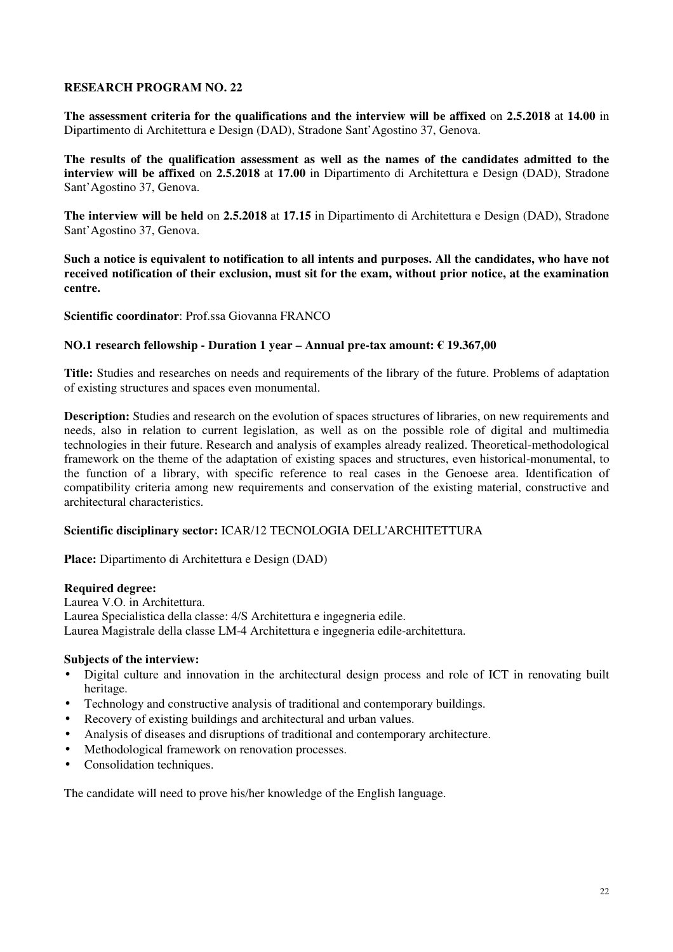**The assessment criteria for the qualifications and the interview will be affixed** on **2.5.2018** at **14.00** in Dipartimento di Architettura e Design (DAD), Stradone Sant'Agostino 37, Genova.

**The results of the qualification assessment as well as the names of the candidates admitted to the interview will be affixed** on **2.5.2018** at **17.00** in Dipartimento di Architettura e Design (DAD), Stradone Sant'Agostino 37, Genova.

**The interview will be held** on **2.5.2018** at **17.15** in Dipartimento di Architettura e Design (DAD), Stradone Sant'Agostino 37, Genova.

**Such a notice is equivalent to notification to all intents and purposes. All the candidates, who have not received notification of their exclusion, must sit for the exam, without prior notice, at the examination centre.** 

**Scientific coordinator**: Prof.ssa Giovanna FRANCO

### **NO.1 research fellowship - Duration 1 year – Annual pre-tax amount: € 19.367,00**

**Title:** Studies and researches on needs and requirements of the library of the future. Problems of adaptation of existing structures and spaces even monumental.

**Description:** Studies and research on the evolution of spaces structures of libraries, on new requirements and needs, also in relation to current legislation, as well as on the possible role of digital and multimedia technologies in their future. Research and analysis of examples already realized. Theoretical-methodological framework on the theme of the adaptation of existing spaces and structures, even historical-monumental, to the function of a library, with specific reference to real cases in the Genoese area. Identification of compatibility criteria among new requirements and conservation of the existing material, constructive and architectural characteristics.

# **Scientific disciplinary sector:** ICAR/12 TECNOLOGIA DELL'ARCHITETTURA

**Place:** Dipartimento di Architettura e Design (DAD)

#### **Required degree:**

Laurea V.O. in Architettura. Laurea Specialistica della classe: 4/S Architettura e ingegneria edile. Laurea Magistrale della classe LM-4 Architettura e ingegneria edile-architettura.

### **Subjects of the interview:**

- Digital culture and innovation in the architectural design process and role of ICT in renovating built heritage.
- Technology and constructive analysis of traditional and contemporary buildings.
- Recovery of existing buildings and architectural and urban values.
- Analysis of diseases and disruptions of traditional and contemporary architecture.
- Methodological framework on renovation processes.
- Consolidation techniques.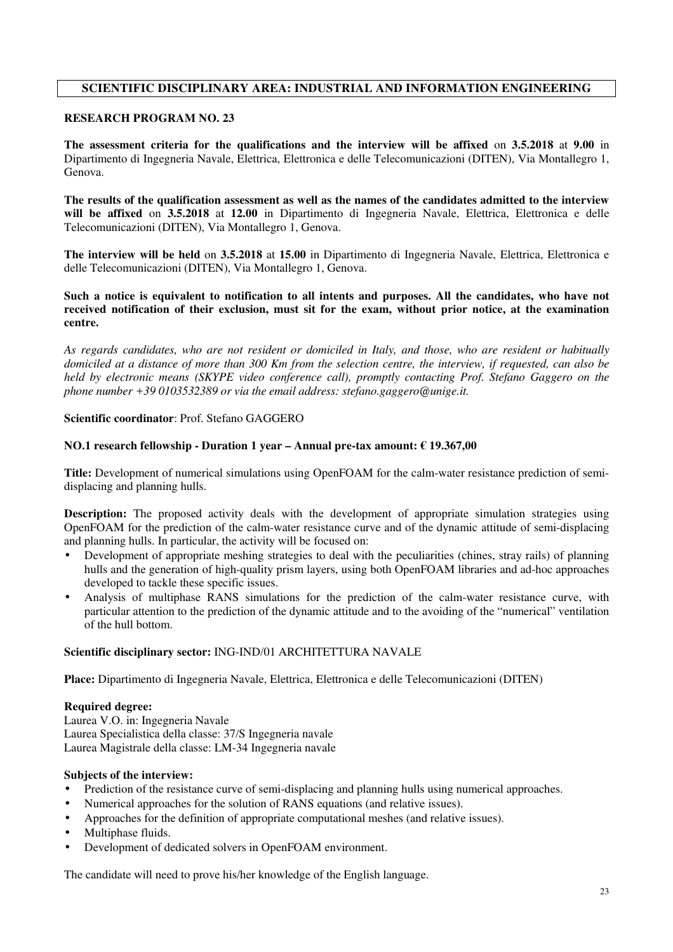# **SCIENTIFIC DISCIPLINARY AREA: INDUSTRIAL AND INFORMATION ENGINEERING**

### **RESEARCH PROGRAM NO. 23**

**The assessment criteria for the qualifications and the interview will be affixed** on **3.5.2018** at **9.00** in Dipartimento di Ingegneria Navale, Elettrica, Elettronica e delle Telecomunicazioni (DITEN), Via Montallegro 1, Genova.

**The results of the qualification assessment as well as the names of the candidates admitted to the interview will be affixed** on **3.5.2018** at **12.00** in Dipartimento di Ingegneria Navale, Elettrica, Elettronica e delle Telecomunicazioni (DITEN), Via Montallegro 1, Genova.

**The interview will be held** on **3.5.2018** at **15.00** in Dipartimento di Ingegneria Navale, Elettrica, Elettronica e delle Telecomunicazioni (DITEN), Via Montallegro 1, Genova.

**Such a notice is equivalent to notification to all intents and purposes. All the candidates, who have not received notification of their exclusion, must sit for the exam, without prior notice, at the examination centre.** 

*As regards candidates, who are not resident or domiciled in Italy, and those, who are resident or habitually domiciled at a distance of more than 300 Km from the selection centre, the interview, if requested, can also be held by electronic means (SKYPE video conference call), promptly contacting Prof. Stefano Gaggero on the phone number +39 0103532389 or via the email address: stefano.gaggero@unige.it.*

#### **Scientific coordinator**: Prof. Stefano GAGGERO

#### **NO.1 research fellowship - Duration 1 year – Annual pre-tax amount: € 19.367,00**

**Title:** Development of numerical simulations using OpenFOAM for the calm-water resistance prediction of semidisplacing and planning hulls.

**Description:** The proposed activity deals with the development of appropriate simulation strategies using OpenFOAM for the prediction of the calm-water resistance curve and of the dynamic attitude of semi-displacing and planning hulls. In particular, the activity will be focused on:

- Development of appropriate meshing strategies to deal with the peculiarities (chines, stray rails) of planning hulls and the generation of high-quality prism layers, using both OpenFOAM libraries and ad-hoc approaches developed to tackle these specific issues.
- Analysis of multiphase RANS simulations for the prediction of the calm-water resistance curve, with particular attention to the prediction of the dynamic attitude and to the avoiding of the "numerical" ventilation of the hull bottom.

### **Scientific disciplinary sector:** ING-IND/01 ARCHITETTURA NAVALE

**Place:** Dipartimento di Ingegneria Navale, Elettrica, Elettronica e delle Telecomunicazioni (DITEN)

#### **Required degree:**

Laurea V.O. in: Ingegneria Navale Laurea Specialistica della classe: 37/S Ingegneria navale Laurea Magistrale della classe: LM-34 Ingegneria navale

### **Subjects of the interview:**

- Prediction of the resistance curve of semi-displacing and planning hulls using numerical approaches.
- Numerical approaches for the solution of RANS equations (and relative issues).
- Approaches for the definition of appropriate computational meshes (and relative issues).
- Multiphase fluids.
- Development of dedicated solvers in OpenFOAM environment.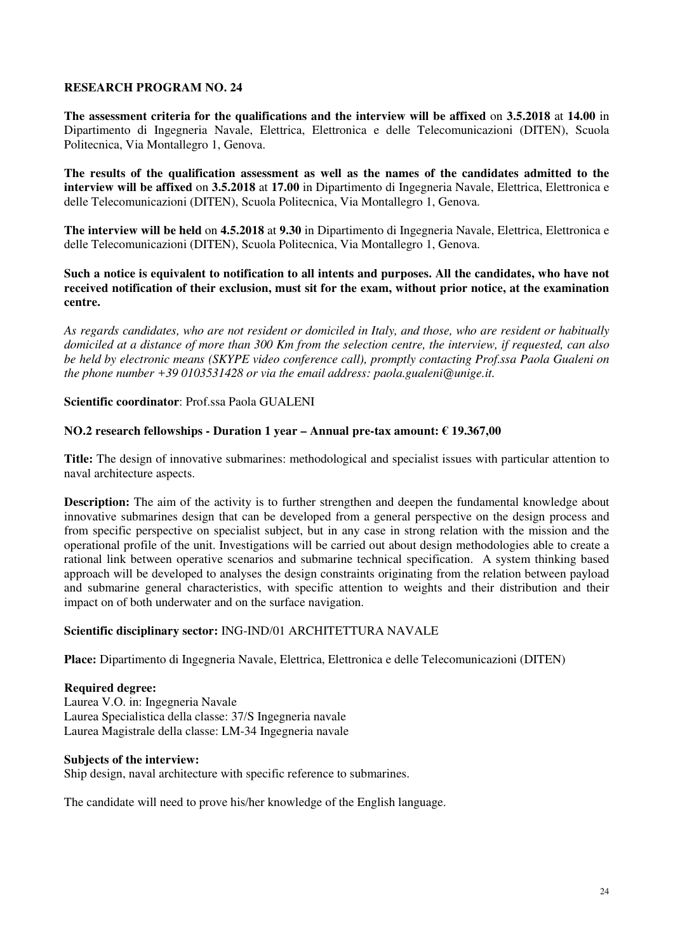**The assessment criteria for the qualifications and the interview will be affixed** on **3.5.2018** at **14.00** in Dipartimento di Ingegneria Navale, Elettrica, Elettronica e delle Telecomunicazioni (DITEN), Scuola Politecnica, Via Montallegro 1, Genova.

**The results of the qualification assessment as well as the names of the candidates admitted to the interview will be affixed** on **3.5.2018** at **17.00** in Dipartimento di Ingegneria Navale, Elettrica, Elettronica e delle Telecomunicazioni (DITEN), Scuola Politecnica, Via Montallegro 1, Genova.

**The interview will be held** on **4.5.2018** at **9.30** in Dipartimento di Ingegneria Navale, Elettrica, Elettronica e delle Telecomunicazioni (DITEN), Scuola Politecnica, Via Montallegro 1, Genova.

**Such a notice is equivalent to notification to all intents and purposes. All the candidates, who have not received notification of their exclusion, must sit for the exam, without prior notice, at the examination centre.** 

*As regards candidates, who are not resident or domiciled in Italy, and those, who are resident or habitually domiciled at a distance of more than 300 Km from the selection centre, the interview, if requested, can also be held by electronic means (SKYPE video conference call), promptly contacting Prof.ssa Paola Gualeni on the phone number +39 0103531428 or via the email address: paola.gualeni@unige.it.*

**Scientific coordinator**: Prof.ssa Paola GUALENI

#### **NO.2 research fellowships - Duration 1 year – Annual pre-tax amount: € 19.367,00**

**Title:** The design of innovative submarines: methodological and specialist issues with particular attention to naval architecture aspects.

**Description:** The aim of the activity is to further strengthen and deepen the fundamental knowledge about innovative submarines design that can be developed from a general perspective on the design process and from specific perspective on specialist subject, but in any case in strong relation with the mission and the operational profile of the unit. Investigations will be carried out about design methodologies able to create a rational link between operative scenarios and submarine technical specification. A system thinking based approach will be developed to analyses the design constraints originating from the relation between payload and submarine general characteristics, with specific attention to weights and their distribution and their impact on of both underwater and on the surface navigation.

### **Scientific disciplinary sector:** ING-IND/01 ARCHITETTURA NAVALE

**Place:** Dipartimento di Ingegneria Navale, Elettrica, Elettronica e delle Telecomunicazioni (DITEN)

#### **Required degree:**

Laurea V.O. in: Ingegneria Navale Laurea Specialistica della classe: 37/S Ingegneria navale Laurea Magistrale della classe: LM-34 Ingegneria navale

#### **Subjects of the interview:**

Ship design, naval architecture with specific reference to submarines.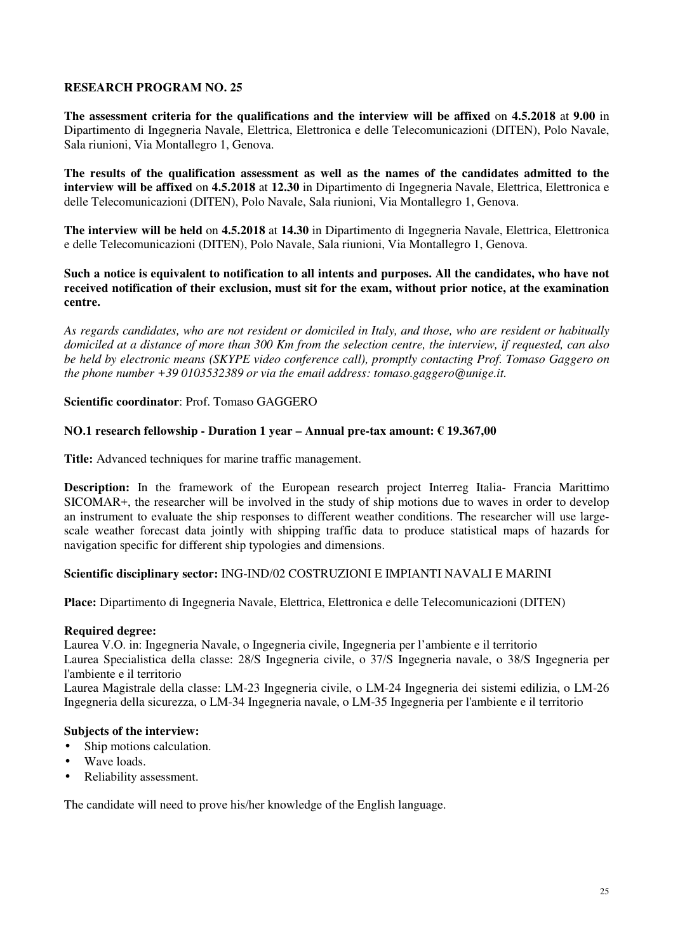**The assessment criteria for the qualifications and the interview will be affixed** on **4.5.2018** at **9.00** in Dipartimento di Ingegneria Navale, Elettrica, Elettronica e delle Telecomunicazioni (DITEN), Polo Navale, Sala riunioni, Via Montallegro 1, Genova.

**The results of the qualification assessment as well as the names of the candidates admitted to the interview will be affixed** on **4.5.2018** at **12.30** in Dipartimento di Ingegneria Navale, Elettrica, Elettronica e delle Telecomunicazioni (DITEN), Polo Navale, Sala riunioni, Via Montallegro 1, Genova.

**The interview will be held** on **4.5.2018** at **14.30** in Dipartimento di Ingegneria Navale, Elettrica, Elettronica e delle Telecomunicazioni (DITEN), Polo Navale, Sala riunioni, Via Montallegro 1, Genova.

**Such a notice is equivalent to notification to all intents and purposes. All the candidates, who have not received notification of their exclusion, must sit for the exam, without prior notice, at the examination centre.** 

*As regards candidates, who are not resident or domiciled in Italy, and those, who are resident or habitually domiciled at a distance of more than 300 Km from the selection centre, the interview, if requested, can also be held by electronic means (SKYPE video conference call), promptly contacting Prof. Tomaso Gaggero on the phone number +39 0103532389 or via the email address: tomaso.gaggero@unige.it.*

### **Scientific coordinator**: Prof. Tomaso GAGGERO

### **NO.1 research fellowship - Duration 1 year – Annual pre-tax amount: € 19.367,00**

**Title:** Advanced techniques for marine traffic management.

**Description:** In the framework of the European research project Interreg Italia- Francia Marittimo SICOMAR+, the researcher will be involved in the study of ship motions due to waves in order to develop an instrument to evaluate the ship responses to different weather conditions. The researcher will use largescale weather forecast data jointly with shipping traffic data to produce statistical maps of hazards for navigation specific for different ship typologies and dimensions.

### **Scientific disciplinary sector:** ING-IND/02 COSTRUZIONI E IMPIANTI NAVALI E MARINI

**Place:** Dipartimento di Ingegneria Navale, Elettrica, Elettronica e delle Telecomunicazioni (DITEN)

### **Required degree:**

Laurea V.O. in: Ingegneria Navale, o Ingegneria civile, Ingegneria per l'ambiente e il territorio Laurea Specialistica della classe: 28/S Ingegneria civile, o 37/S Ingegneria navale, o 38/S Ingegneria per l'ambiente e il territorio

Laurea Magistrale della classe: LM-23 Ingegneria civile, o LM-24 Ingegneria dei sistemi edilizia, o LM-26 Ingegneria della sicurezza, o LM-34 Ingegneria navale, o LM-35 Ingegneria per l'ambiente e il territorio

#### **Subjects of the interview:**

- Ship motions calculation.
- Wave loads.
- Reliability assessment.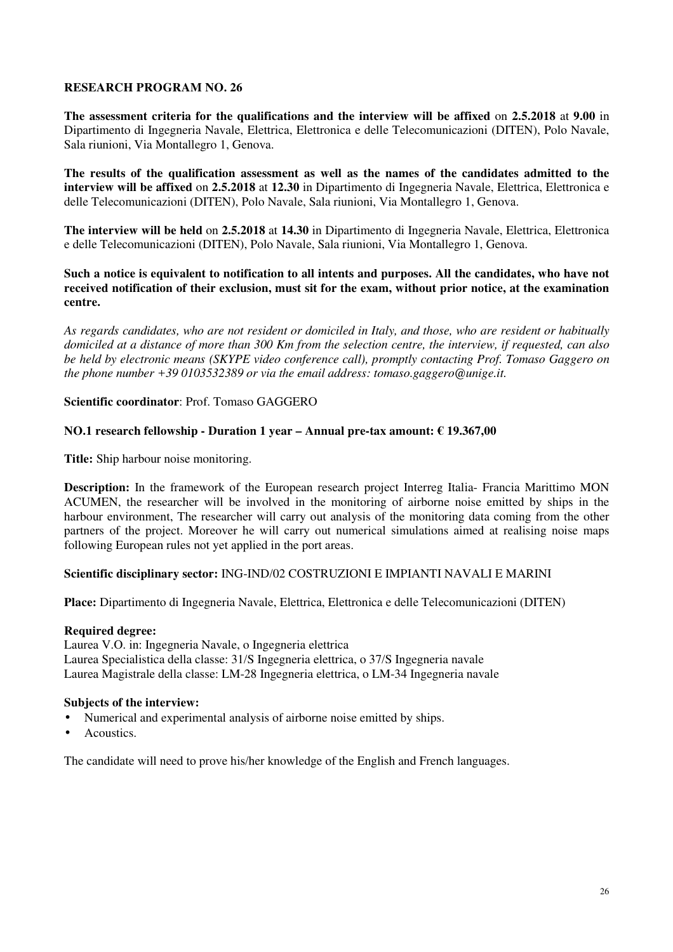**The assessment criteria for the qualifications and the interview will be affixed** on **2.5.2018** at **9.00** in Dipartimento di Ingegneria Navale, Elettrica, Elettronica e delle Telecomunicazioni (DITEN), Polo Navale, Sala riunioni, Via Montallegro 1, Genova.

**The results of the qualification assessment as well as the names of the candidates admitted to the interview will be affixed** on **2.5.2018** at **12.30** in Dipartimento di Ingegneria Navale, Elettrica, Elettronica e delle Telecomunicazioni (DITEN), Polo Navale, Sala riunioni, Via Montallegro 1, Genova.

**The interview will be held** on **2.5.2018** at **14.30** in Dipartimento di Ingegneria Navale, Elettrica, Elettronica e delle Telecomunicazioni (DITEN), Polo Navale, Sala riunioni, Via Montallegro 1, Genova.

**Such a notice is equivalent to notification to all intents and purposes. All the candidates, who have not received notification of their exclusion, must sit for the exam, without prior notice, at the examination centre.** 

*As regards candidates, who are not resident or domiciled in Italy, and those, who are resident or habitually domiciled at a distance of more than 300 Km from the selection centre, the interview, if requested, can also be held by electronic means (SKYPE video conference call), promptly contacting Prof. Tomaso Gaggero on the phone number +39 0103532389 or via the email address: tomaso.gaggero@unige.it.*

### **Scientific coordinator**: Prof. Tomaso GAGGERO

### **NO.1 research fellowship - Duration 1 year – Annual pre-tax amount: € 19.367,00**

**Title:** Ship harbour noise monitoring.

**Description:** In the framework of the European research project Interreg Italia- Francia Marittimo MON ACUMEN, the researcher will be involved in the monitoring of airborne noise emitted by ships in the harbour environment, The researcher will carry out analysis of the monitoring data coming from the other partners of the project. Moreover he will carry out numerical simulations aimed at realising noise maps following European rules not yet applied in the port areas.

### **Scientific disciplinary sector:** ING-IND/02 COSTRUZIONI E IMPIANTI NAVALI E MARINI

**Place:** Dipartimento di Ingegneria Navale, Elettrica, Elettronica e delle Telecomunicazioni (DITEN)

#### **Required degree:**

Laurea V.O. in: Ingegneria Navale, o Ingegneria elettrica Laurea Specialistica della classe: 31/S Ingegneria elettrica, o 37/S Ingegneria navale Laurea Magistrale della classe: LM-28 Ingegneria elettrica, o LM-34 Ingegneria navale

### **Subjects of the interview:**

- Numerical and experimental analysis of airborne noise emitted by ships.
- Acoustics.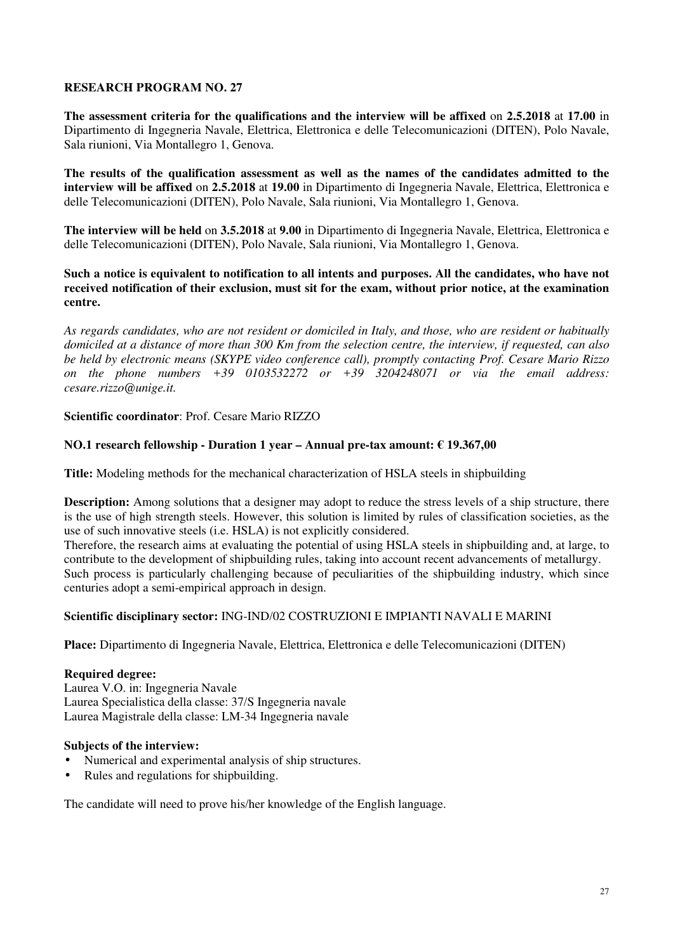**The assessment criteria for the qualifications and the interview will be affixed** on **2.5.2018** at **17.00** in Dipartimento di Ingegneria Navale, Elettrica, Elettronica e delle Telecomunicazioni (DITEN), Polo Navale, Sala riunioni, Via Montallegro 1, Genova.

**The results of the qualification assessment as well as the names of the candidates admitted to the interview will be affixed** on **2.5.2018** at **19.00** in Dipartimento di Ingegneria Navale, Elettrica, Elettronica e delle Telecomunicazioni (DITEN), Polo Navale, Sala riunioni, Via Montallegro 1, Genova.

**The interview will be held** on **3.5.2018** at **9.00** in Dipartimento di Ingegneria Navale, Elettrica, Elettronica e delle Telecomunicazioni (DITEN), Polo Navale, Sala riunioni, Via Montallegro 1, Genova.

## **Such a notice is equivalent to notification to all intents and purposes. All the candidates, who have not received notification of their exclusion, must sit for the exam, without prior notice, at the examination centre.**

*As regards candidates, who are not resident or domiciled in Italy, and those, who are resident or habitually domiciled at a distance of more than 300 Km from the selection centre, the interview, if requested, can also be held by electronic means (SKYPE video conference call), promptly contacting Prof. Cesare Mario Rizzo on the phone numbers +39 0103532272 or +39 3204248071 or via the email address: cesare.rizzo@unige.it.*

**Scientific coordinator**: Prof. Cesare Mario RIZZO

# **NO.1 research fellowship - Duration 1 year – Annual pre-tax amount: € 19.367,00**

**Title:** Modeling methods for the mechanical characterization of HSLA steels in shipbuilding

**Description:** Among solutions that a designer may adopt to reduce the stress levels of a ship structure, there is the use of high strength steels. However, this solution is limited by rules of classification societies, as the use of such innovative steels (i.e. HSLA) is not explicitly considered.

Therefore, the research aims at evaluating the potential of using HSLA steels in shipbuilding and, at large, to contribute to the development of shipbuilding rules, taking into account recent advancements of metallurgy. Such process is particularly challenging because of peculiarities of the shipbuilding industry, which since centuries adopt a semi-empirical approach in design.

### **Scientific disciplinary sector:** ING-IND/02 COSTRUZIONI E IMPIANTI NAVALI E MARINI

**Place:** Dipartimento di Ingegneria Navale, Elettrica, Elettronica e delle Telecomunicazioni (DITEN)

### **Required degree:**

Laurea V.O. in: Ingegneria Navale Laurea Specialistica della classe: 37/S Ingegneria navale Laurea Magistrale della classe: LM-34 Ingegneria navale

### **Subjects of the interview:**

- Numerical and experimental analysis of ship structures.
- Rules and regulations for shipbuilding.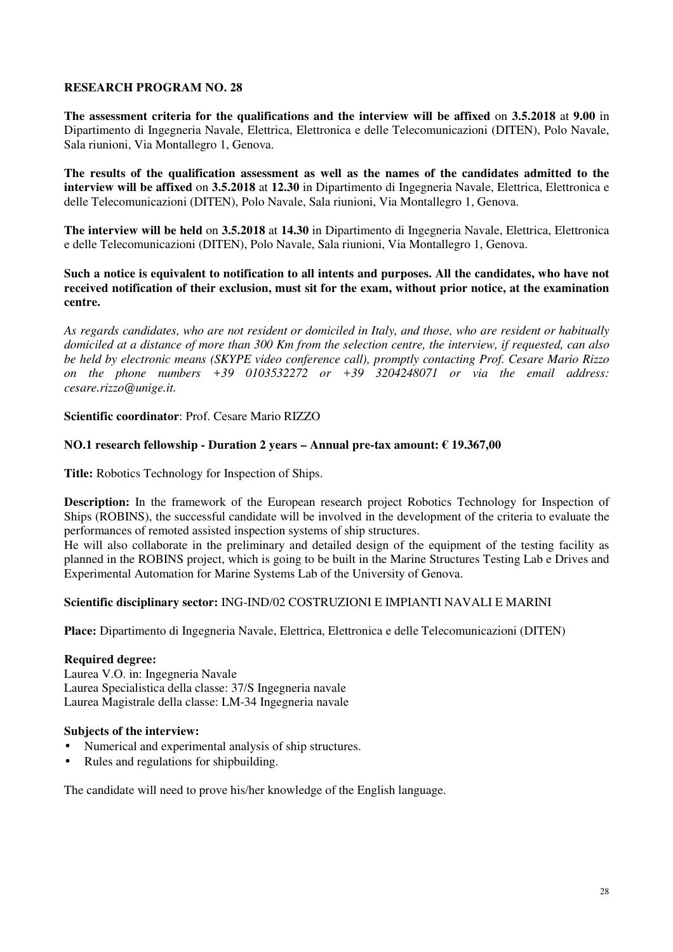**The assessment criteria for the qualifications and the interview will be affixed** on **3.5.2018** at **9.00** in Dipartimento di Ingegneria Navale, Elettrica, Elettronica e delle Telecomunicazioni (DITEN), Polo Navale, Sala riunioni, Via Montallegro 1, Genova.

**The results of the qualification assessment as well as the names of the candidates admitted to the interview will be affixed** on **3.5.2018** at **12.30** in Dipartimento di Ingegneria Navale, Elettrica, Elettronica e delle Telecomunicazioni (DITEN), Polo Navale, Sala riunioni, Via Montallegro 1, Genova.

**The interview will be held** on **3.5.2018** at **14.30** in Dipartimento di Ingegneria Navale, Elettrica, Elettronica e delle Telecomunicazioni (DITEN), Polo Navale, Sala riunioni, Via Montallegro 1, Genova.

## **Such a notice is equivalent to notification to all intents and purposes. All the candidates, who have not received notification of their exclusion, must sit for the exam, without prior notice, at the examination centre.**

*As regards candidates, who are not resident or domiciled in Italy, and those, who are resident or habitually domiciled at a distance of more than 300 Km from the selection centre, the interview, if requested, can also be held by electronic means (SKYPE video conference call), promptly contacting Prof. Cesare Mario Rizzo on the phone numbers +39 0103532272 or +39 3204248071 or via the email address: cesare.rizzo@unige.it.*

### **Scientific coordinator**: Prof. Cesare Mario RIZZO

# **NO.1 research fellowship - Duration 2 years – Annual pre-tax amount: € 19.367,00**

**Title:** Robotics Technology for Inspection of Ships.

**Description:** In the framework of the European research project Robotics Technology for Inspection of Ships (ROBINS), the successful candidate will be involved in the development of the criteria to evaluate the performances of remoted assisted inspection systems of ship structures.

He will also collaborate in the preliminary and detailed design of the equipment of the testing facility as planned in the ROBINS project, which is going to be built in the Marine Structures Testing Lab e Drives and Experimental Automation for Marine Systems Lab of the University of Genova.

### **Scientific disciplinary sector:** ING-IND/02 COSTRUZIONI E IMPIANTI NAVALI E MARINI

**Place:** Dipartimento di Ingegneria Navale, Elettrica, Elettronica e delle Telecomunicazioni (DITEN)

### **Required degree:**

Laurea V.O. in: Ingegneria Navale Laurea Specialistica della classe: 37/S Ingegneria navale Laurea Magistrale della classe: LM-34 Ingegneria navale

### **Subjects of the interview:**

- Numerical and experimental analysis of ship structures.
- Rules and regulations for shipbuilding.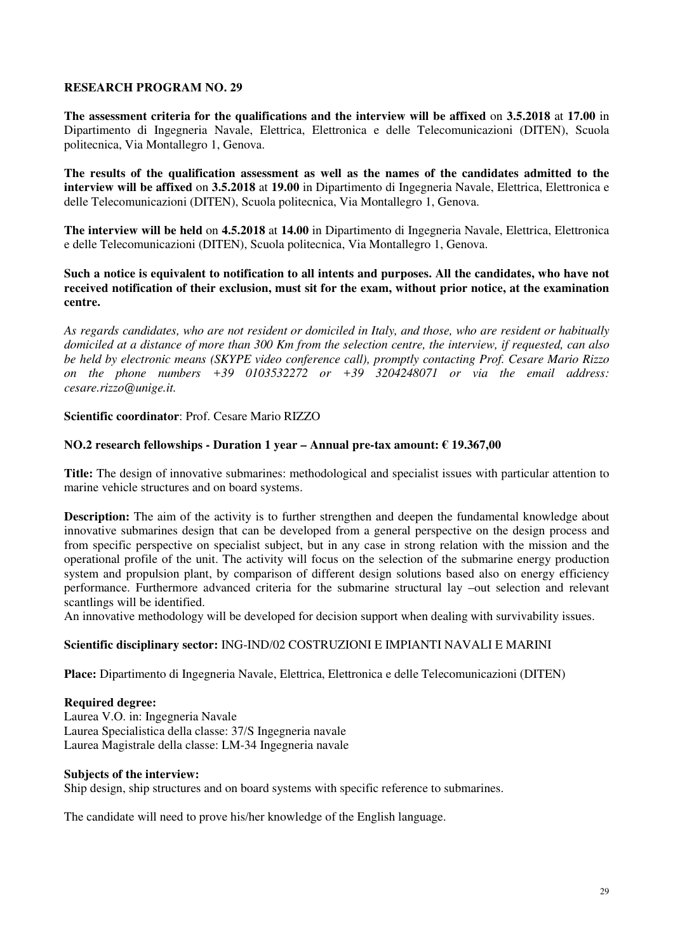**The assessment criteria for the qualifications and the interview will be affixed** on **3.5.2018** at **17.00** in Dipartimento di Ingegneria Navale, Elettrica, Elettronica e delle Telecomunicazioni (DITEN), Scuola politecnica, Via Montallegro 1, Genova.

**The results of the qualification assessment as well as the names of the candidates admitted to the interview will be affixed** on **3.5.2018** at **19.00** in Dipartimento di Ingegneria Navale, Elettrica, Elettronica e delle Telecomunicazioni (DITEN), Scuola politecnica, Via Montallegro 1, Genova.

**The interview will be held** on **4.5.2018** at **14.00** in Dipartimento di Ingegneria Navale, Elettrica, Elettronica e delle Telecomunicazioni (DITEN), Scuola politecnica, Via Montallegro 1, Genova.

**Such a notice is equivalent to notification to all intents and purposes. All the candidates, who have not received notification of their exclusion, must sit for the exam, without prior notice, at the examination centre.** 

*As regards candidates, who are not resident or domiciled in Italy, and those, who are resident or habitually domiciled at a distance of more than 300 Km from the selection centre, the interview, if requested, can also be held by electronic means (SKYPE video conference call), promptly contacting Prof. Cesare Mario Rizzo on the phone numbers +39 0103532272 or +39 3204248071 or via the email address: cesare.rizzo@unige.it.*

### **Scientific coordinator**: Prof. Cesare Mario RIZZO

### **NO.2 research fellowships - Duration 1 year – Annual pre-tax amount: € 19.367,00**

**Title:** The design of innovative submarines: methodological and specialist issues with particular attention to marine vehicle structures and on board systems.

**Description:** The aim of the activity is to further strengthen and deepen the fundamental knowledge about innovative submarines design that can be developed from a general perspective on the design process and from specific perspective on specialist subject, but in any case in strong relation with the mission and the operational profile of the unit. The activity will focus on the selection of the submarine energy production system and propulsion plant, by comparison of different design solutions based also on energy efficiency performance. Furthermore advanced criteria for the submarine structural lay –out selection and relevant scantlings will be identified.

An innovative methodology will be developed for decision support when dealing with survivability issues.

### **Scientific disciplinary sector:** ING-IND/02 COSTRUZIONI E IMPIANTI NAVALI E MARINI

**Place:** Dipartimento di Ingegneria Navale, Elettrica, Elettronica e delle Telecomunicazioni (DITEN)

#### **Required degree:**

Laurea V.O. in: Ingegneria Navale Laurea Specialistica della classe: 37/S Ingegneria navale Laurea Magistrale della classe: LM-34 Ingegneria navale

#### **Subjects of the interview:**

Ship design, ship structures and on board systems with specific reference to submarines.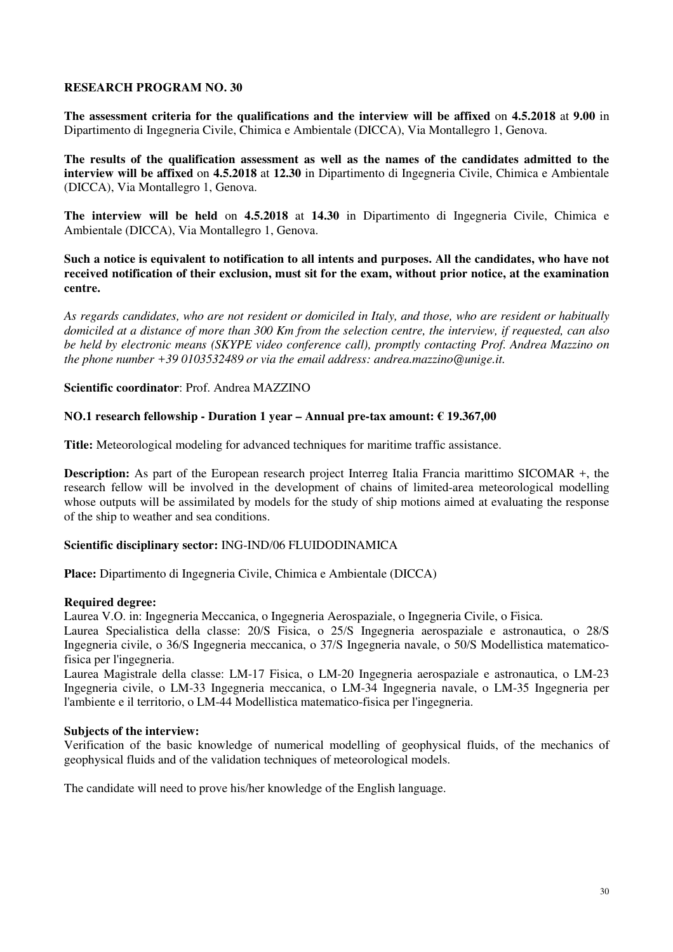**The assessment criteria for the qualifications and the interview will be affixed** on **4.5.2018** at **9.00** in Dipartimento di Ingegneria Civile, Chimica e Ambientale (DICCA), Via Montallegro 1, Genova.

**The results of the qualification assessment as well as the names of the candidates admitted to the interview will be affixed** on **4.5.2018** at **12.30** in Dipartimento di Ingegneria Civile, Chimica e Ambientale (DICCA), Via Montallegro 1, Genova.

**The interview will be held** on **4.5.2018** at **14.30** in Dipartimento di Ingegneria Civile, Chimica e Ambientale (DICCA), Via Montallegro 1, Genova.

**Such a notice is equivalent to notification to all intents and purposes. All the candidates, who have not received notification of their exclusion, must sit for the exam, without prior notice, at the examination centre.** 

*As regards candidates, who are not resident or domiciled in Italy, and those, who are resident or habitually domiciled at a distance of more than 300 Km from the selection centre, the interview, if requested, can also be held by electronic means (SKYPE video conference call), promptly contacting Prof. Andrea Mazzino on the phone number +39 0103532489 or via the email address: andrea.mazzino@unige.it.*

#### **Scientific coordinator**: Prof. Andrea MAZZINO

#### **NO.1 research fellowship - Duration 1 year – Annual pre-tax amount: € 19.367,00**

**Title:** Meteorological modeling for advanced techniques for maritime traffic assistance.

**Description:** As part of the European research project Interreg Italia Francia marittimo SICOMAR +, the research fellow will be involved in the development of chains of limited-area meteorological modelling whose outputs will be assimilated by models for the study of ship motions aimed at evaluating the response of the ship to weather and sea conditions.

#### **Scientific disciplinary sector:** ING-IND/06 FLUIDODINAMICA

**Place:** Dipartimento di Ingegneria Civile, Chimica e Ambientale (DICCA)

#### **Required degree:**

Laurea V.O. in: Ingegneria Meccanica, o Ingegneria Aerospaziale, o Ingegneria Civile, o Fisica.

Laurea Specialistica della classe: 20/S Fisica, o 25/S Ingegneria aerospaziale e astronautica, o 28/S Ingegneria civile, o 36/S Ingegneria meccanica, o 37/S Ingegneria navale, o 50/S Modellistica matematicofisica per l'ingegneria.

Laurea Magistrale della classe: LM-17 Fisica, o LM-20 Ingegneria aerospaziale e astronautica, o LM-23 Ingegneria civile, o LM-33 Ingegneria meccanica, o LM-34 Ingegneria navale, o LM-35 Ingegneria per l'ambiente e il territorio, o LM-44 Modellistica matematico-fisica per l'ingegneria.

#### **Subjects of the interview:**

Verification of the basic knowledge of numerical modelling of geophysical fluids, of the mechanics of geophysical fluids and of the validation techniques of meteorological models.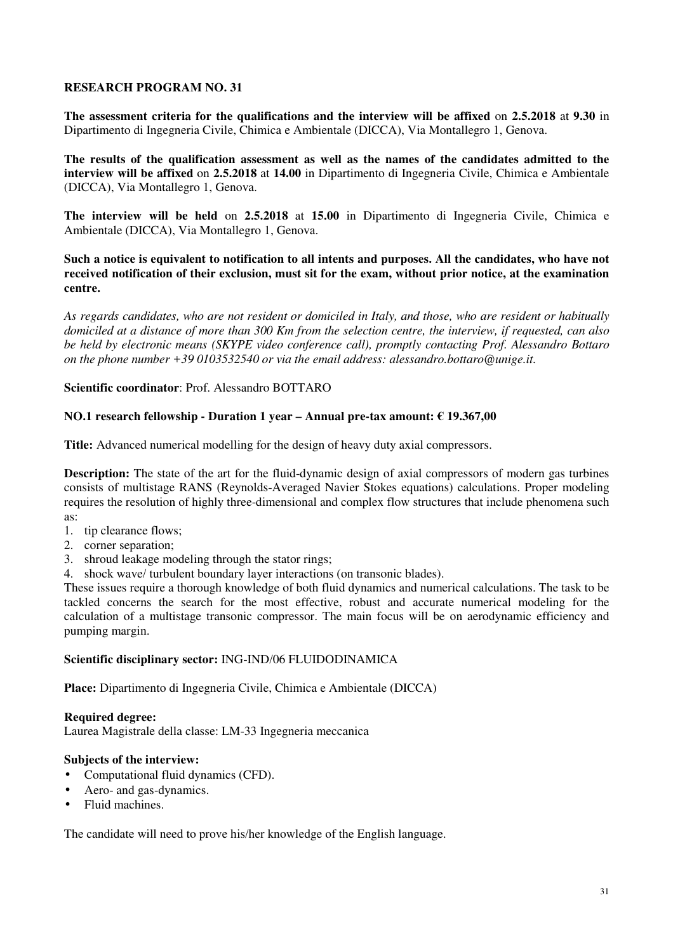**The assessment criteria for the qualifications and the interview will be affixed** on **2.5.2018** at **9.30** in Dipartimento di Ingegneria Civile, Chimica e Ambientale (DICCA), Via Montallegro 1, Genova.

**The results of the qualification assessment as well as the names of the candidates admitted to the interview will be affixed** on **2.5.2018** at **14.00** in Dipartimento di Ingegneria Civile, Chimica e Ambientale (DICCA), Via Montallegro 1, Genova.

**The interview will be held** on **2.5.2018** at **15.00** in Dipartimento di Ingegneria Civile, Chimica e Ambientale (DICCA), Via Montallegro 1, Genova.

**Such a notice is equivalent to notification to all intents and purposes. All the candidates, who have not received notification of their exclusion, must sit for the exam, without prior notice, at the examination centre.** 

*As regards candidates, who are not resident or domiciled in Italy, and those, who are resident or habitually domiciled at a distance of more than 300 Km from the selection centre, the interview, if requested, can also be held by electronic means (SKYPE video conference call), promptly contacting Prof. Alessandro Bottaro on the phone number +39 0103532540 or via the email address: alessandro.bottaro@unige.it.*

**Scientific coordinator**: Prof. Alessandro BOTTARO

### **NO.1 research fellowship - Duration 1 year – Annual pre-tax amount: € 19.367,00**

**Title:** Advanced numerical modelling for the design of heavy duty axial compressors.

**Description:** The state of the art for the fluid-dynamic design of axial compressors of modern gas turbines consists of multistage RANS (Reynolds-Averaged Navier Stokes equations) calculations. Proper modeling requires the resolution of highly three-dimensional and complex flow structures that include phenomena such as:

- 1. tip clearance flows;
- 2. corner separation;
- 3. shroud leakage modeling through the stator rings;
- 4. shock wave/ turbulent boundary layer interactions (on transonic blades).

These issues require a thorough knowledge of both fluid dynamics and numerical calculations. The task to be tackled concerns the search for the most effective, robust and accurate numerical modeling for the calculation of a multistage transonic compressor. The main focus will be on aerodynamic efficiency and pumping margin.

### **Scientific disciplinary sector:** ING-IND/06 FLUIDODINAMICA

**Place:** Dipartimento di Ingegneria Civile, Chimica e Ambientale (DICCA)

### **Required degree:**

Laurea Magistrale della classe: LM-33 Ingegneria meccanica

### **Subjects of the interview:**

- Computational fluid dynamics (CFD).
- Aero- and gas-dynamics.
- Fluid machines.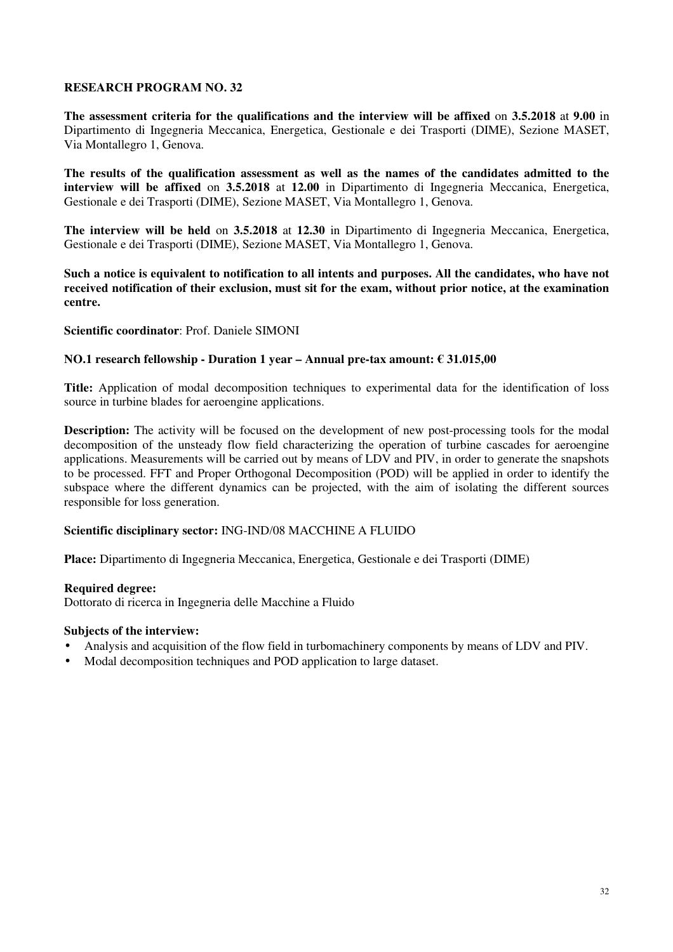**The assessment criteria for the qualifications and the interview will be affixed** on **3.5.2018** at **9.00** in Dipartimento di Ingegneria Meccanica, Energetica, Gestionale e dei Trasporti (DIME), Sezione MASET, Via Montallegro 1, Genova.

**The results of the qualification assessment as well as the names of the candidates admitted to the interview will be affixed** on **3.5.2018** at **12.00** in Dipartimento di Ingegneria Meccanica, Energetica, Gestionale e dei Trasporti (DIME), Sezione MASET, Via Montallegro 1, Genova.

**The interview will be held** on **3.5.2018** at **12.30** in Dipartimento di Ingegneria Meccanica, Energetica, Gestionale e dei Trasporti (DIME), Sezione MASET, Via Montallegro 1, Genova.

**Such a notice is equivalent to notification to all intents and purposes. All the candidates, who have not received notification of their exclusion, must sit for the exam, without prior notice, at the examination centre.** 

### **Scientific coordinator**: Prof. Daniele SIMONI

#### **NO.1 research fellowship - Duration 1 year – Annual pre-tax amount: € 31.015,00**

**Title:** Application of modal decomposition techniques to experimental data for the identification of loss source in turbine blades for aeroengine applications.

**Description:** The activity will be focused on the development of new post-processing tools for the modal decomposition of the unsteady flow field characterizing the operation of turbine cascades for aeroengine applications. Measurements will be carried out by means of LDV and PIV, in order to generate the snapshots to be processed. FFT and Proper Orthogonal Decomposition (POD) will be applied in order to identify the subspace where the different dynamics can be projected, with the aim of isolating the different sources responsible for loss generation.

### **Scientific disciplinary sector:** ING-IND/08 MACCHINE A FLUIDO

**Place:** Dipartimento di Ingegneria Meccanica, Energetica, Gestionale e dei Trasporti (DIME)

#### **Required degree:**

Dottorato di ricerca in Ingegneria delle Macchine a Fluido

#### **Subjects of the interview:**

- Analysis and acquisition of the flow field in turbomachinery components by means of LDV and PIV.
- Modal decomposition techniques and POD application to large dataset.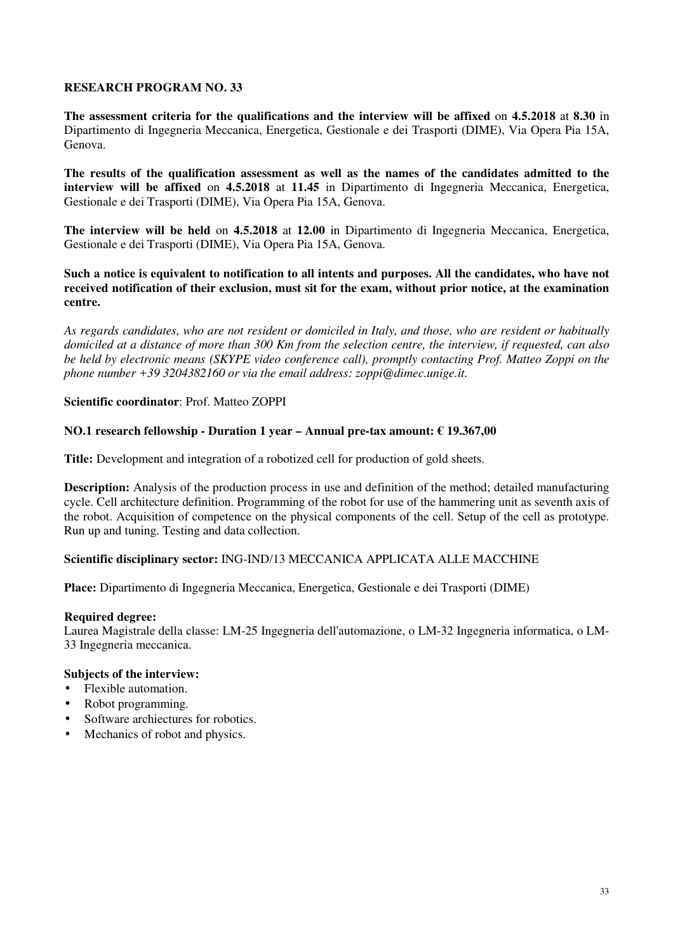**The assessment criteria for the qualifications and the interview will be affixed** on **4.5.2018** at **8.30** in Dipartimento di Ingegneria Meccanica, Energetica, Gestionale e dei Trasporti (DIME), Via Opera Pia 15A, Genova.

**The results of the qualification assessment as well as the names of the candidates admitted to the interview will be affixed** on **4.5.2018** at **11.45** in Dipartimento di Ingegneria Meccanica, Energetica, Gestionale e dei Trasporti (DIME), Via Opera Pia 15A, Genova.

**The interview will be held** on **4.5.2018** at **12.00** in Dipartimento di Ingegneria Meccanica, Energetica, Gestionale e dei Trasporti (DIME), Via Opera Pia 15A, Genova.

**Such a notice is equivalent to notification to all intents and purposes. All the candidates, who have not received notification of their exclusion, must sit for the exam, without prior notice, at the examination centre.** 

*As regards candidates, who are not resident or domiciled in Italy, and those, who are resident or habitually domiciled at a distance of more than 300 Km from the selection centre, the interview, if requested, can also be held by electronic means (SKYPE video conference call), promptly contacting Prof. Matteo Zoppi on the phone number +39 3204382160 or via the email address: zoppi@dimec.unige.it.*

### **Scientific coordinator**: Prof. Matteo ZOPPI

### **NO.1 research fellowship - Duration 1 year – Annual pre-tax amount: € 19.367,00**

**Title:** Development and integration of a robotized cell for production of gold sheets.

**Description:** Analysis of the production process in use and definition of the method; detailed manufacturing cycle. Cell architecture definition. Programming of the robot for use of the hammering unit as seventh axis of the robot. Acquisition of competence on the physical components of the cell. Setup of the cell as prototype. Run up and tuning. Testing and data collection.

### **Scientific disciplinary sector:** ING-IND/13 MECCANICA APPLICATA ALLE MACCHINE

**Place:** Dipartimento di Ingegneria Meccanica, Energetica, Gestionale e dei Trasporti (DIME)

#### **Required degree:**

Laurea Magistrale della classe: LM-25 Ingegneria dell'automazione, o LM-32 Ingegneria informatica, o LM-33 Ingegneria meccanica.

# **Subjects of the interview:**

- Flexible automation.
- Robot programming.
- Software archiectures for robotics.
- Mechanics of robot and physics.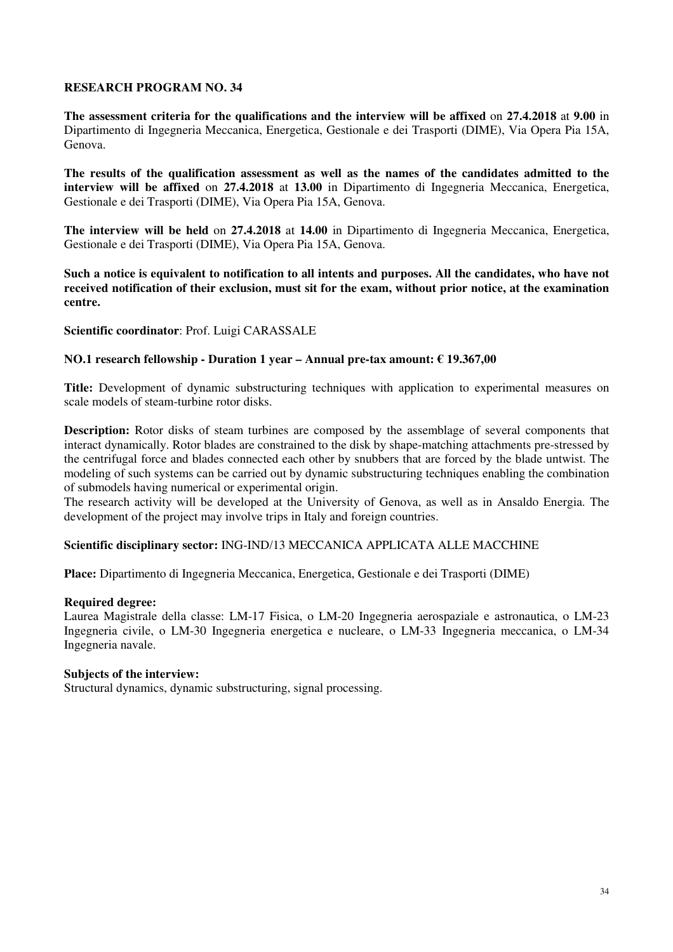**The assessment criteria for the qualifications and the interview will be affixed** on **27.4.2018** at **9.00** in Dipartimento di Ingegneria Meccanica, Energetica, Gestionale e dei Trasporti (DIME), Via Opera Pia 15A, Genova.

**The results of the qualification assessment as well as the names of the candidates admitted to the interview will be affixed** on **27.4.2018** at **13.00** in Dipartimento di Ingegneria Meccanica, Energetica, Gestionale e dei Trasporti (DIME), Via Opera Pia 15A, Genova.

**The interview will be held** on **27.4.2018** at **14.00** in Dipartimento di Ingegneria Meccanica, Energetica, Gestionale e dei Trasporti (DIME), Via Opera Pia 15A, Genova.

**Such a notice is equivalent to notification to all intents and purposes. All the candidates, who have not received notification of their exclusion, must sit for the exam, without prior notice, at the examination centre.** 

### **Scientific coordinator**: Prof. Luigi CARASSALE

# **NO.1 research fellowship - Duration 1 year – Annual pre-tax amount: € 19.367,00**

**Title:** Development of dynamic substructuring techniques with application to experimental measures on scale models of steam-turbine rotor disks.

**Description:** Rotor disks of steam turbines are composed by the assemblage of several components that interact dynamically. Rotor blades are constrained to the disk by shape-matching attachments pre-stressed by the centrifugal force and blades connected each other by snubbers that are forced by the blade untwist. The modeling of such systems can be carried out by dynamic substructuring techniques enabling the combination of submodels having numerical or experimental origin.

The research activity will be developed at the University of Genova, as well as in Ansaldo Energia. The development of the project may involve trips in Italy and foreign countries.

#### **Scientific disciplinary sector:** ING-IND/13 MECCANICA APPLICATA ALLE MACCHINE

**Place:** Dipartimento di Ingegneria Meccanica, Energetica, Gestionale e dei Trasporti (DIME)

#### **Required degree:**

Laurea Magistrale della classe: LM-17 Fisica, o LM-20 Ingegneria aerospaziale e astronautica, o LM-23 Ingegneria civile, o LM-30 Ingegneria energetica e nucleare, o LM-33 Ingegneria meccanica, o LM-34 Ingegneria navale.

#### **Subjects of the interview:**

Structural dynamics, dynamic substructuring, signal processing.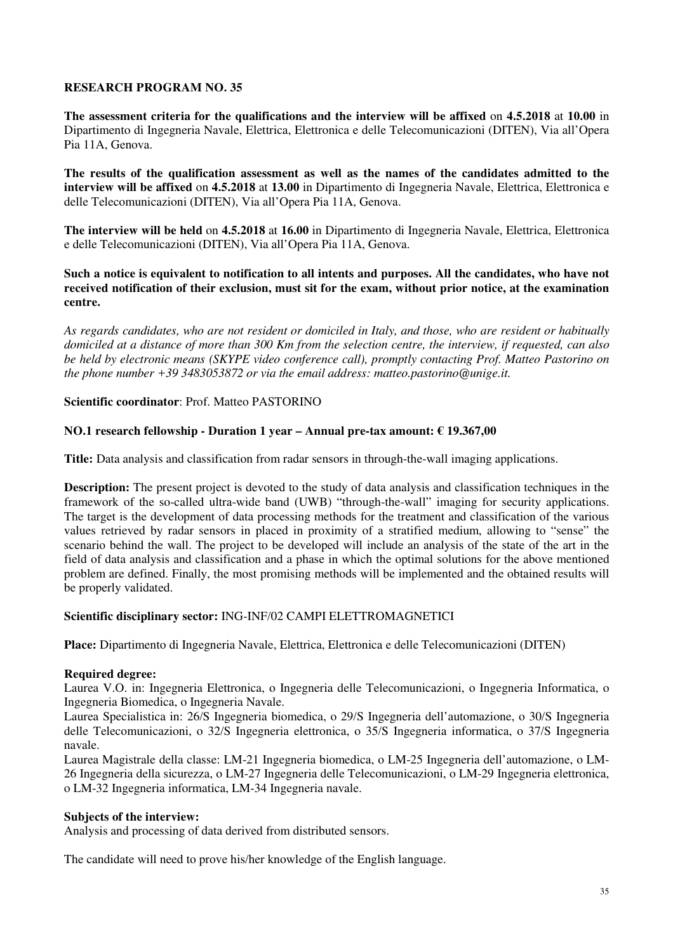**The assessment criteria for the qualifications and the interview will be affixed** on **4.5.2018** at **10.00** in Dipartimento di Ingegneria Navale, Elettrica, Elettronica e delle Telecomunicazioni (DITEN), Via all'Opera Pia 11A, Genova.

**The results of the qualification assessment as well as the names of the candidates admitted to the interview will be affixed** on **4.5.2018** at **13.00** in Dipartimento di Ingegneria Navale, Elettrica, Elettronica e delle Telecomunicazioni (DITEN), Via all'Opera Pia 11A, Genova.

**The interview will be held** on **4.5.2018** at **16.00** in Dipartimento di Ingegneria Navale, Elettrica, Elettronica e delle Telecomunicazioni (DITEN), Via all'Opera Pia 11A, Genova.

**Such a notice is equivalent to notification to all intents and purposes. All the candidates, who have not received notification of their exclusion, must sit for the exam, without prior notice, at the examination centre.** 

*As regards candidates, who are not resident or domiciled in Italy, and those, who are resident or habitually domiciled at a distance of more than 300 Km from the selection centre, the interview, if requested, can also be held by electronic means (SKYPE video conference call), promptly contacting Prof. Matteo Pastorino on the phone number +39 3483053872 or via the email address: matteo.pastorino@unige.it.*

### **Scientific coordinator**: Prof. Matteo PASTORINO

### **NO.1 research fellowship - Duration 1 year – Annual pre-tax amount: € 19.367,00**

**Title:** Data analysis and classification from radar sensors in through-the-wall imaging applications.

**Description:** The present project is devoted to the study of data analysis and classification techniques in the framework of the so-called ultra-wide band (UWB) "through-the-wall" imaging for security applications. The target is the development of data processing methods for the treatment and classification of the various values retrieved by radar sensors in placed in proximity of a stratified medium, allowing to "sense" the scenario behind the wall. The project to be developed will include an analysis of the state of the art in the field of data analysis and classification and a phase in which the optimal solutions for the above mentioned problem are defined. Finally, the most promising methods will be implemented and the obtained results will be properly validated.

### **Scientific disciplinary sector:** ING-INF/02 CAMPI ELETTROMAGNETICI

**Place:** Dipartimento di Ingegneria Navale, Elettrica, Elettronica e delle Telecomunicazioni (DITEN)

#### **Required degree:**

Laurea V.O. in: Ingegneria Elettronica, o Ingegneria delle Telecomunicazioni, o Ingegneria Informatica, o Ingegneria Biomedica, o Ingegneria Navale.

Laurea Specialistica in: 26/S Ingegneria biomedica, o 29/S Ingegneria dell'automazione, o 30/S Ingegneria delle Telecomunicazioni, o 32/S Ingegneria elettronica, o 35/S Ingegneria informatica, o 37/S Ingegneria navale.

Laurea Magistrale della classe: LM-21 Ingegneria biomedica, o LM-25 Ingegneria dell'automazione, o LM-26 Ingegneria della sicurezza, o LM-27 Ingegneria delle Telecomunicazioni, o LM-29 Ingegneria elettronica, o LM-32 Ingegneria informatica, LM-34 Ingegneria navale.

#### **Subjects of the interview:**

Analysis and processing of data derived from distributed sensors.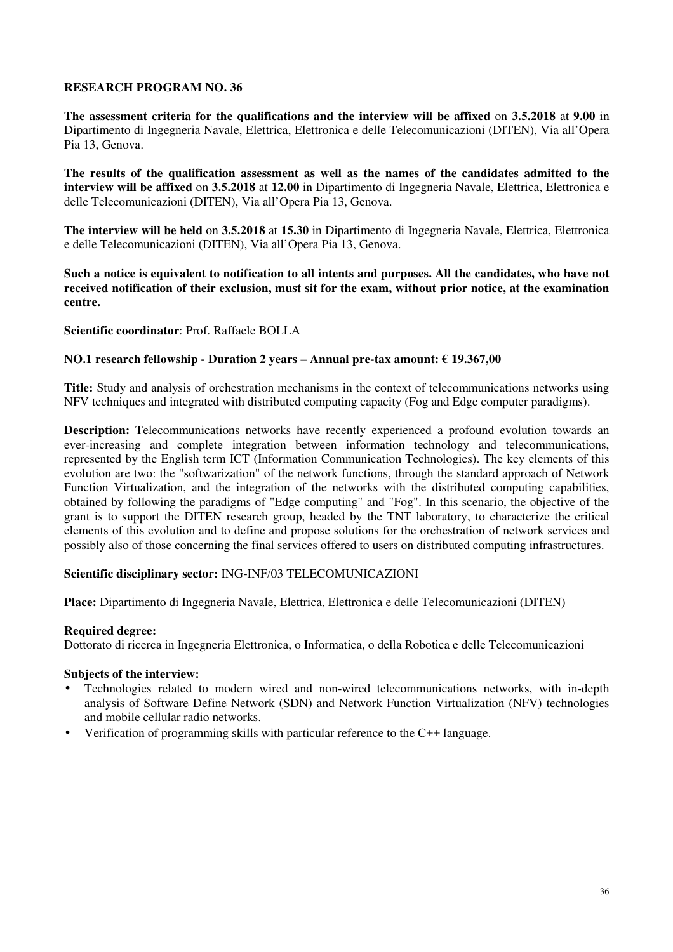**The assessment criteria for the qualifications and the interview will be affixed** on **3.5.2018** at **9.00** in Dipartimento di Ingegneria Navale, Elettrica, Elettronica e delle Telecomunicazioni (DITEN), Via all'Opera Pia 13, Genova.

**The results of the qualification assessment as well as the names of the candidates admitted to the interview will be affixed** on **3.5.2018** at **12.00** in Dipartimento di Ingegneria Navale, Elettrica, Elettronica e delle Telecomunicazioni (DITEN), Via all'Opera Pia 13, Genova.

**The interview will be held** on **3.5.2018** at **15.30** in Dipartimento di Ingegneria Navale, Elettrica, Elettronica e delle Telecomunicazioni (DITEN), Via all'Opera Pia 13, Genova.

**Such a notice is equivalent to notification to all intents and purposes. All the candidates, who have not received notification of their exclusion, must sit for the exam, without prior notice, at the examination centre.** 

### **Scientific coordinator**: Prof. Raffaele BOLLA

### **NO.1 research fellowship - Duration 2 years – Annual pre-tax amount: € 19.367,00**

**Title:** Study and analysis of orchestration mechanisms in the context of telecommunications networks using NFV techniques and integrated with distributed computing capacity (Fog and Edge computer paradigms).

**Description:** Telecommunications networks have recently experienced a profound evolution towards an ever-increasing and complete integration between information technology and telecommunications, represented by the English term ICT (Information Communication Technologies). The key elements of this evolution are two: the "softwarization" of the network functions, through the standard approach of Network Function Virtualization, and the integration of the networks with the distributed computing capabilities, obtained by following the paradigms of "Edge computing" and "Fog". In this scenario, the objective of the grant is to support the DITEN research group, headed by the TNT laboratory, to characterize the critical elements of this evolution and to define and propose solutions for the orchestration of network services and possibly also of those concerning the final services offered to users on distributed computing infrastructures.

### **Scientific disciplinary sector:** ING-INF/03 TELECOMUNICAZIONI

**Place:** Dipartimento di Ingegneria Navale, Elettrica, Elettronica e delle Telecomunicazioni (DITEN)

#### **Required degree:**

Dottorato di ricerca in Ingegneria Elettronica, o Informatica, o della Robotica e delle Telecomunicazioni

# **Subjects of the interview:**

- Technologies related to modern wired and non-wired telecommunications networks, with in-depth analysis of Software Define Network (SDN) and Network Function Virtualization (NFV) technologies and mobile cellular radio networks.
- Verification of programming skills with particular reference to the C++ language.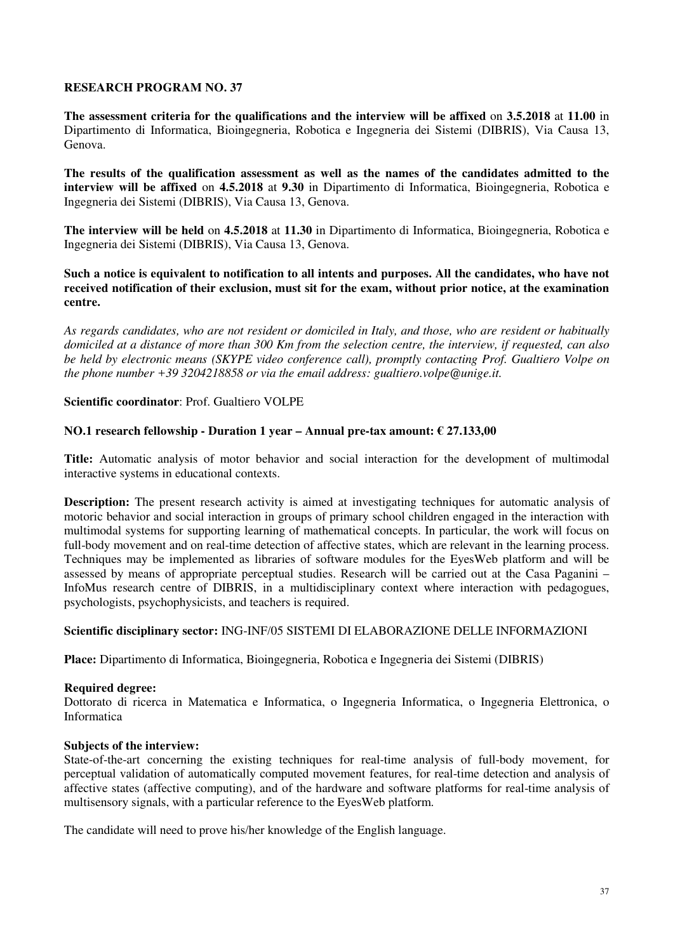**The assessment criteria for the qualifications and the interview will be affixed** on **3.5.2018** at **11.00** in Dipartimento di Informatica, Bioingegneria, Robotica e Ingegneria dei Sistemi (DIBRIS), Via Causa 13, Genova.

**The results of the qualification assessment as well as the names of the candidates admitted to the interview will be affixed** on **4.5.2018** at **9.30** in Dipartimento di Informatica, Bioingegneria, Robotica e Ingegneria dei Sistemi (DIBRIS), Via Causa 13, Genova.

**The interview will be held** on **4.5.2018** at **11.30** in Dipartimento di Informatica, Bioingegneria, Robotica e Ingegneria dei Sistemi (DIBRIS), Via Causa 13, Genova.

**Such a notice is equivalent to notification to all intents and purposes. All the candidates, who have not received notification of their exclusion, must sit for the exam, without prior notice, at the examination centre.** 

*As regards candidates, who are not resident or domiciled in Italy, and those, who are resident or habitually domiciled at a distance of more than 300 Km from the selection centre, the interview, if requested, can also be held by electronic means (SKYPE video conference call), promptly contacting Prof. Gualtiero Volpe on the phone number +39 3204218858 or via the email address: gualtiero.volpe@unige.it.*

### **Scientific coordinator**: Prof. Gualtiero VOLPE

### **NO.1 research fellowship - Duration 1 year – Annual pre-tax amount: € 27.133,00**

**Title:** Automatic analysis of motor behavior and social interaction for the development of multimodal interactive systems in educational contexts.

**Description:** The present research activity is aimed at investigating techniques for automatic analysis of motoric behavior and social interaction in groups of primary school children engaged in the interaction with multimodal systems for supporting learning of mathematical concepts. In particular, the work will focus on full-body movement and on real-time detection of affective states, which are relevant in the learning process. Techniques may be implemented as libraries of software modules for the EyesWeb platform and will be assessed by means of appropriate perceptual studies. Research will be carried out at the Casa Paganini – InfoMus research centre of DIBRIS, in a multidisciplinary context where interaction with pedagogues, psychologists, psychophysicists, and teachers is required.

#### **Scientific disciplinary sector:** ING-INF/05 SISTEMI DI ELABORAZIONE DELLE INFORMAZIONI

**Place:** Dipartimento di Informatica, Bioingegneria, Robotica e Ingegneria dei Sistemi (DIBRIS)

#### **Required degree:**

Dottorato di ricerca in Matematica e Informatica, o Ingegneria Informatica, o Ingegneria Elettronica, o Informatica

#### **Subjects of the interview:**

State-of-the-art concerning the existing techniques for real-time analysis of full-body movement, for perceptual validation of automatically computed movement features, for real-time detection and analysis of affective states (affective computing), and of the hardware and software platforms for real-time analysis of multisensory signals, with a particular reference to the EyesWeb platform.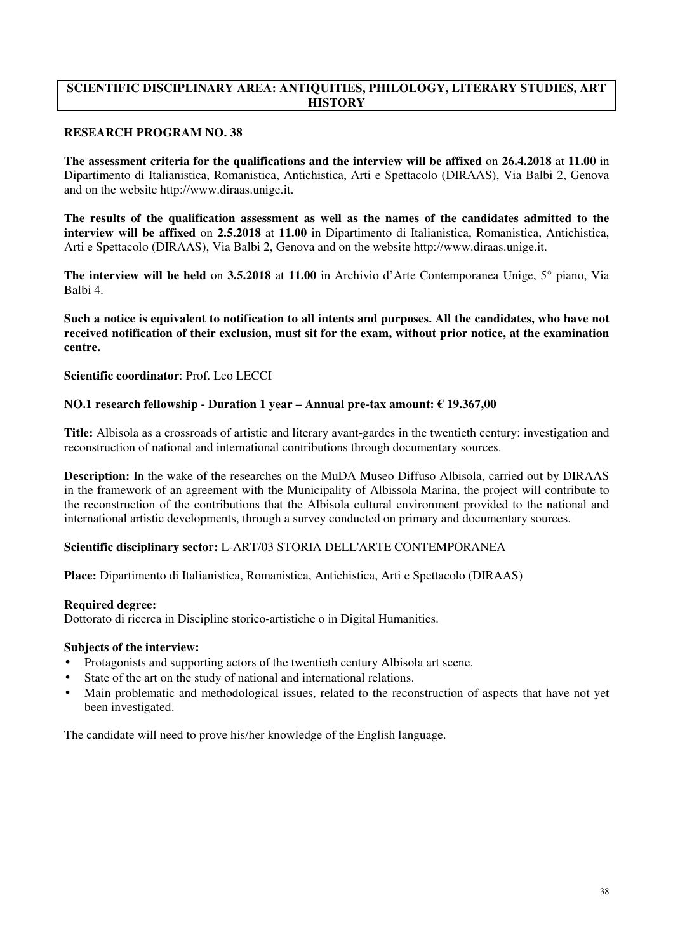# **SCIENTIFIC DISCIPLINARY AREA: ANTIQUITIES, PHILOLOGY, LITERARY STUDIES, ART HISTORY**

# **RESEARCH PROGRAM NO. 38**

**The assessment criteria for the qualifications and the interview will be affixed** on **26.4.2018** at **11.00** in Dipartimento di Italianistica, Romanistica, Antichistica, Arti e Spettacolo (DIRAAS), Via Balbi 2, Genova and on the website http://www.diraas.unige.it.

**The results of the qualification assessment as well as the names of the candidates admitted to the interview will be affixed** on **2.5.2018** at **11.00** in Dipartimento di Italianistica, Romanistica, Antichistica, Arti e Spettacolo (DIRAAS), Via Balbi 2, Genova and on the website http://www.diraas.unige.it.

**The interview will be held** on **3.5.2018** at **11.00** in Archivio d'Arte Contemporanea Unige, 5° piano, Via Balbi 4.

**Such a notice is equivalent to notification to all intents and purposes. All the candidates, who have not received notification of their exclusion, must sit for the exam, without prior notice, at the examination centre.** 

**Scientific coordinator**: Prof. Leo LECCI

# **NO.1 research fellowship - Duration 1 year – Annual pre-tax amount: € 19.367,00**

**Title:** Albisola as a crossroads of artistic and literary avant-gardes in the twentieth century: investigation and reconstruction of national and international contributions through documentary sources.

**Description:** In the wake of the researches on the MuDA Museo Diffuso Albisola, carried out by DIRAAS in the framework of an agreement with the Municipality of Albissola Marina, the project will contribute to the reconstruction of the contributions that the Albisola cultural environment provided to the national and international artistic developments, through a survey conducted on primary and documentary sources.

### **Scientific disciplinary sector:** L-ART/03 STORIA DELL'ARTE CONTEMPORANEA

**Place:** Dipartimento di Italianistica, Romanistica, Antichistica, Arti e Spettacolo (DIRAAS)

### **Required degree:**

Dottorato di ricerca in Discipline storico-artistiche o in Digital Humanities.

### **Subjects of the interview:**

- Protagonists and supporting actors of the twentieth century Albisola art scene.
- State of the art on the study of national and international relations.
- Main problematic and methodological issues, related to the reconstruction of aspects that have not yet been investigated.